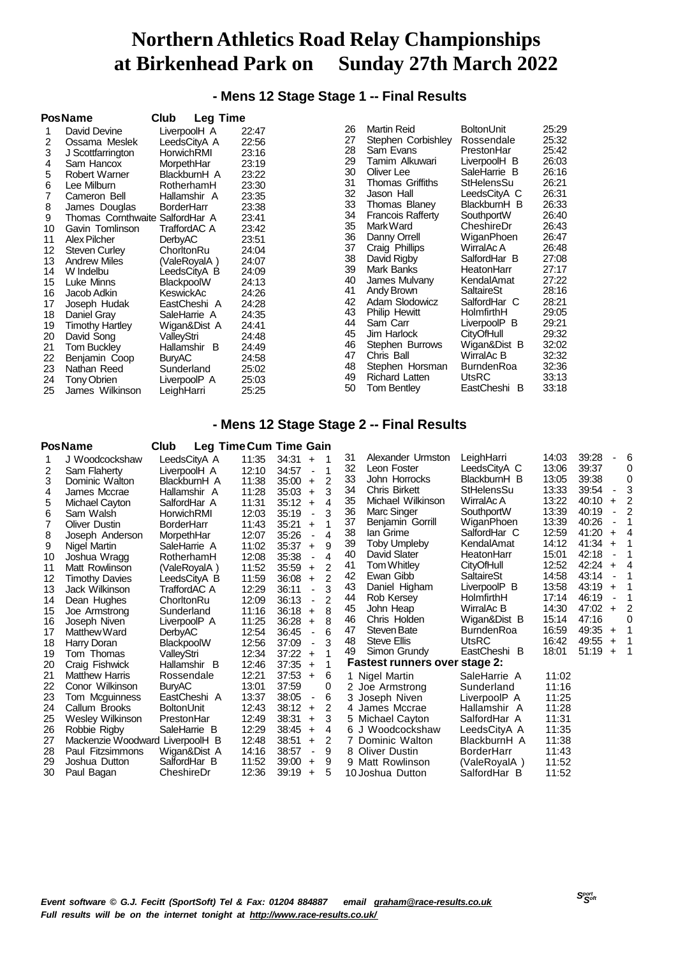# **- Mens 12 Stage Stage 1 -- Final Results**

|    | <b>PosName</b>                  | Club<br><b>Leg Time</b> |       |    |                          |                   |       |
|----|---------------------------------|-------------------------|-------|----|--------------------------|-------------------|-------|
|    | David Devine                    | LiverpoolH A            | 22:47 | 26 | <b>Martin Reid</b>       | <b>BoltonUnit</b> | 25:29 |
| 2  | Ossama Meslek                   | LeedsCityA A            | 22:56 | 27 | Stephen Corbishley       | Rossendale        | 25:32 |
| 3  | J Scottfarrington               | HorwichRMI              | 23:16 | 28 | Sam Evans                | PrestonHar        | 25:42 |
| 4  | Sam Hancox                      | MorpethHar              | 23:19 | 29 | Tamim Alkuwari           | LiverpoolH B      | 26:03 |
| 5  | Robert Warner                   | BlackburnH A            | 23:22 | 30 | Oliver Lee               | SaleHarrie B      | 26:16 |
| 6  | Lee Milburn                     | RotherhamH              | 23:30 | 31 | Thomas Griffiths         | StHelensSu        | 26:21 |
|    | Cameron Bell                    | Hallamshir A            | 23:35 | 32 | Jason Hall               | LeedsCityA C      | 26:31 |
| 8  | James Douglas                   | <b>BorderHarr</b>       | 23:38 | 33 | Thomas Blaney            | BlackburnH B      | 26:33 |
| 9  | Thomas Cornthwaite SalfordHar A |                         | 23:41 | 34 | <b>Francois Rafferty</b> | SouthportW        | 26:40 |
| 10 | Gavin Tomlinson                 | TraffordAC A            | 23:42 | 35 | Mark Ward                | CheshireDr        | 26:43 |
| 11 | Alex Pilcher                    | <b>DerbyAC</b>          | 23:51 | 36 | Danny Orrell             | WiganPhoen        | 26:47 |
| 12 | <b>Steven Curley</b>            | ChorltonRu              | 24:04 | 37 | Craig Phillips           | WirralAc A        | 26:48 |
| 13 | <b>Andrew Miles</b>             | (ValeRoyalA)            | 24:07 | 38 | David Rigby              | SalfordHar B      | 27:08 |
| 14 | W Indelbu                       | LeedsCityA B            | 24:09 | 39 | Mark Banks               | HeatonHarr        | 27:17 |
| 15 | Luke Minns                      | BlackpoolW              | 24:13 | 40 | James Mulvany            | KendalAmat        | 27:22 |
| 16 | Jacob Adkin                     | KeswickAc               | 24:26 | 41 | Andy Brown               | SaltaireSt        | 28:16 |
| 17 | Joseph Hudak                    | EastCheshi A            | 24:28 | 42 | Adam Slodowicz           | SalfordHar C      | 28:21 |
| 18 | Daniel Gray                     | SaleHarrie A            | 24:35 | 43 | <b>Philip Hewitt</b>     | HolmfirthH        | 29:05 |
| 19 | Timothy Hartley                 | Wigan&Dist A            | 24:41 | 44 | Sam Carr                 | LiverpoolP B      | 29:21 |
| 20 | David Song                      | ValleyStri              | 24:48 | 45 | Jim Harlock              | <b>CityOfHull</b> | 29:32 |
| 21 | Tom Buckley                     | Hallamshir B            | 24:49 | 46 | Stephen Burrows          | Wigan&Dist B      | 32:02 |
| 22 | Benjamin Coop                   | <b>BuryAC</b>           | 24:58 | 47 | Chris Ball               | WirralAc B        | 32:32 |
| 23 | Nathan Reed                     | Sunderland              | 25:02 | 48 | Stephen Horsman          | <b>BurndenRoa</b> | 32:36 |
| 24 | Tony Obrien                     | LiverpoolP A            | 25:03 | 49 | <b>Richard Latten</b>    | UtsRC             | 33:13 |
| 25 | James Wilkinson                 | LeighHarri              | 25:25 | 50 | Tom Bentley              | EastCheshi B      | 33:18 |

### **- Mens 12 Stage Stage 2 -- Final Results**

### **PosName Club Leg TimeCum Time Gain**

|                       | ี่∽∾ษ                                                                                    | ັ                                                                        |                              |                              |                |    |                                                                                              |                                                                                                                                                                                                                                                                                                                                                                                                                                                                                   |                                                                                                                                                                                                                                                                                                                |                                                                                                                                                       |                                                                                                                                                                |   |
|-----------------------|------------------------------------------------------------------------------------------|--------------------------------------------------------------------------|------------------------------|------------------------------|----------------|----|----------------------------------------------------------------------------------------------|-----------------------------------------------------------------------------------------------------------------------------------------------------------------------------------------------------------------------------------------------------------------------------------------------------------------------------------------------------------------------------------------------------------------------------------------------------------------------------------|----------------------------------------------------------------------------------------------------------------------------------------------------------------------------------------------------------------------------------------------------------------------------------------------------------------|-------------------------------------------------------------------------------------------------------------------------------------------------------|----------------------------------------------------------------------------------------------------------------------------------------------------------------|---|
| J Woodcockshaw        | LeedsCityA A                                                                             | 11:35                                                                    | 34:31                        | $\ddot{}$                    | 1              | 31 | Alexander Urmston                                                                            |                                                                                                                                                                                                                                                                                                                                                                                                                                                                                   | 14:03                                                                                                                                                                                                                                                                                                          |                                                                                                                                                       |                                                                                                                                                                | 6 |
| Sam Flaherty          | LiverpoolH A                                                                             | 12:10                                                                    | 34:57                        | ÷,                           | 1              |    |                                                                                              |                                                                                                                                                                                                                                                                                                                                                                                                                                                                                   |                                                                                                                                                                                                                                                                                                                |                                                                                                                                                       |                                                                                                                                                                | 0 |
| Dominic Walton        | BlackburnH A                                                                             | 11:38                                                                    | 35:00                        | $\ddot{}$                    | 2              |    |                                                                                              |                                                                                                                                                                                                                                                                                                                                                                                                                                                                                   |                                                                                                                                                                                                                                                                                                                |                                                                                                                                                       |                                                                                                                                                                | 0 |
| James Mccrae          |                                                                                          |                                                                          | 35:03                        | $\ddot{}$                    | 3              |    |                                                                                              |                                                                                                                                                                                                                                                                                                                                                                                                                                                                                   |                                                                                                                                                                                                                                                                                                                |                                                                                                                                                       |                                                                                                                                                                | 3 |
|                       | SalfordHar A                                                                             | 11:31                                                                    | 35:12                        | $\ddot{}$                    | 4              |    |                                                                                              |                                                                                                                                                                                                                                                                                                                                                                                                                                                                                   |                                                                                                                                                                                                                                                                                                                |                                                                                                                                                       | $\ddot{}$                                                                                                                                                      |   |
| Sam Walsh             | HorwichRMI                                                                               | 12:03                                                                    | 35:19                        | $\blacksquare$               | 3              |    |                                                                                              |                                                                                                                                                                                                                                                                                                                                                                                                                                                                                   |                                                                                                                                                                                                                                                                                                                |                                                                                                                                                       |                                                                                                                                                                |   |
| <b>Oliver Dustin</b>  | <b>BorderHarr</b>                                                                        | 11:43                                                                    | 35:21                        | $+$                          |                |    |                                                                                              |                                                                                                                                                                                                                                                                                                                                                                                                                                                                                   |                                                                                                                                                                                                                                                                                                                |                                                                                                                                                       |                                                                                                                                                                |   |
| Joseph Anderson       | MorpethHar                                                                               | 12:07                                                                    | 35:26                        | $\qquad \qquad \blacksquare$ | 4              |    |                                                                                              |                                                                                                                                                                                                                                                                                                                                                                                                                                                                                   |                                                                                                                                                                                                                                                                                                                |                                                                                                                                                       | $\ddot{}$                                                                                                                                                      |   |
| Nigel Martin          | SaleHarrie A                                                                             | 11:02                                                                    | 35:37                        | $+$                          | 9              |    |                                                                                              |                                                                                                                                                                                                                                                                                                                                                                                                                                                                                   |                                                                                                                                                                                                                                                                                                                |                                                                                                                                                       | $\ddot{}$                                                                                                                                                      |   |
|                       | RotherhamH                                                                               | 12:08                                                                    | 35:38                        |                              | 4              |    |                                                                                              |                                                                                                                                                                                                                                                                                                                                                                                                                                                                                   |                                                                                                                                                                                                                                                                                                                |                                                                                                                                                       |                                                                                                                                                                |   |
| Matt Rowlinson        | (ValeRovalA)                                                                             | 11:52                                                                    | 35:59                        | $\ddot{}$                    | $\mathcal{P}$  |    |                                                                                              |                                                                                                                                                                                                                                                                                                                                                                                                                                                                                   |                                                                                                                                                                                                                                                                                                                |                                                                                                                                                       | $\ddot{}$                                                                                                                                                      |   |
|                       | LeedsCityA B                                                                             | 11:59                                                                    | 36:08                        | $\ddot{}$                    | 2              |    |                                                                                              |                                                                                                                                                                                                                                                                                                                                                                                                                                                                                   |                                                                                                                                                                                                                                                                                                                |                                                                                                                                                       |                                                                                                                                                                |   |
| Jack Wilkinson        | TraffordAC A                                                                             |                                                                          | 36:11                        | $\blacksquare$               | 3              |    |                                                                                              |                                                                                                                                                                                                                                                                                                                                                                                                                                                                                   |                                                                                                                                                                                                                                                                                                                |                                                                                                                                                       | $\ddot{}$                                                                                                                                                      |   |
|                       | ChorltonRu                                                                               | 12:09                                                                    | 36:13                        |                              | $\overline{2}$ |    | Rob Kersey                                                                                   |                                                                                                                                                                                                                                                                                                                                                                                                                                                                                   |                                                                                                                                                                                                                                                                                                                |                                                                                                                                                       |                                                                                                                                                                |   |
| Joe Armstrong         | Sunderland                                                                               | 11:16                                                                    | 36:18                        | $\ddot{}$                    | 8              |    |                                                                                              |                                                                                                                                                                                                                                                                                                                                                                                                                                                                                   |                                                                                                                                                                                                                                                                                                                |                                                                                                                                                       | $\ddot{}$                                                                                                                                                      | 2 |
| Joseph Niven          | LiverpoolP A                                                                             | 11:25                                                                    | 36:28                        | $+$                          | 8              |    |                                                                                              |                                                                                                                                                                                                                                                                                                                                                                                                                                                                                   |                                                                                                                                                                                                                                                                                                                |                                                                                                                                                       |                                                                                                                                                                |   |
| Matthew Ward          |                                                                                          | 12:54                                                                    | 36:45                        | $\blacksquare$               | 6              | 47 |                                                                                              | <b>BurndenRoa</b>                                                                                                                                                                                                                                                                                                                                                                                                                                                                 |                                                                                                                                                                                                                                                                                                                |                                                                                                                                                       | $+$                                                                                                                                                            |   |
| Harry Doran           | BlackpoolW                                                                               |                                                                          | 37:09                        | ä,                           | 3              | 48 | <b>Steve Ellis</b>                                                                           |                                                                                                                                                                                                                                                                                                                                                                                                                                                                                   | 16:42                                                                                                                                                                                                                                                                                                          | 49:55                                                                                                                                                 | $\ddot{}$                                                                                                                                                      |   |
| Tom Thomas            |                                                                                          | 12:34                                                                    | 37:22                        | $\ddot{}$                    |                |    |                                                                                              |                                                                                                                                                                                                                                                                                                                                                                                                                                                                                   |                                                                                                                                                                                                                                                                                                                |                                                                                                                                                       | $\ddot{}$                                                                                                                                                      |   |
| Craig Fishwick        | Hallamshir B                                                                             | 12:46                                                                    | 37:35                        | $\ddot{}$                    |                |    |                                                                                              |                                                                                                                                                                                                                                                                                                                                                                                                                                                                                   |                                                                                                                                                                                                                                                                                                                |                                                                                                                                                       |                                                                                                                                                                |   |
| <b>Matthew Harris</b> | Rossendale                                                                               | 12:21                                                                    | 37:53                        | $\ddot{}$                    | 6              |    |                                                                                              | SaleHarrie A                                                                                                                                                                                                                                                                                                                                                                                                                                                                      | 11:02                                                                                                                                                                                                                                                                                                          |                                                                                                                                                       |                                                                                                                                                                |   |
| Conor Wilkinson       | <b>BuryAC</b>                                                                            | 13:01                                                                    | 37:59                        |                              | 0              |    |                                                                                              | Sunderland                                                                                                                                                                                                                                                                                                                                                                                                                                                                        | 11:16                                                                                                                                                                                                                                                                                                          |                                                                                                                                                       |                                                                                                                                                                |   |
|                       | EastCheshi A                                                                             | 13:37                                                                    | 38:05                        | $\qquad \qquad \blacksquare$ | 6              |    |                                                                                              | LiverpoolP A                                                                                                                                                                                                                                                                                                                                                                                                                                                                      | 11:25                                                                                                                                                                                                                                                                                                          |                                                                                                                                                       |                                                                                                                                                                |   |
| Callum Brooks         | <b>BoltonUnit</b>                                                                        | 12:43                                                                    | 38:12                        | $\ddot{}$                    | 2              |    |                                                                                              | Hallamshir A                                                                                                                                                                                                                                                                                                                                                                                                                                                                      | 11:28                                                                                                                                                                                                                                                                                                          |                                                                                                                                                       |                                                                                                                                                                |   |
| Wesley Wilkinson      | PrestonHar                                                                               | 12:49                                                                    | 38:31                        | $\ddot{}$                    | 3              |    |                                                                                              | SalfordHar A                                                                                                                                                                                                                                                                                                                                                                                                                                                                      | 11:31                                                                                                                                                                                                                                                                                                          |                                                                                                                                                       |                                                                                                                                                                |   |
| Robbie Rigby          | SaleHarrie B                                                                             | 12:29                                                                    | 38:45                        | $\ddot{}$                    | 4              |    |                                                                                              | LeedsCityA A                                                                                                                                                                                                                                                                                                                                                                                                                                                                      | 11:35                                                                                                                                                                                                                                                                                                          |                                                                                                                                                       |                                                                                                                                                                |   |
|                       |                                                                                          | 12:48                                                                    | 38:51                        | $\ddot{}$                    | 2              |    |                                                                                              | BlackburnH A                                                                                                                                                                                                                                                                                                                                                                                                                                                                      | 11:38                                                                                                                                                                                                                                                                                                          |                                                                                                                                                       |                                                                                                                                                                |   |
| Paul Fitzsimmons      | Wigan&Dist A                                                                             | 14:16                                                                    | 38:57                        | ٠                            | 9              | 8  |                                                                                              | <b>BorderHarr</b>                                                                                                                                                                                                                                                                                                                                                                                                                                                                 | 11:43                                                                                                                                                                                                                                                                                                          |                                                                                                                                                       |                                                                                                                                                                |   |
| Joshua Dutton         | SalfordHar B                                                                             | 11:52                                                                    | 39:00                        | $\ddot{}$                    | 9              |    |                                                                                              | (ValeRoyalA)                                                                                                                                                                                                                                                                                                                                                                                                                                                                      | 11:52                                                                                                                                                                                                                                                                                                          |                                                                                                                                                       |                                                                                                                                                                |   |
| Paul Bagan            | CheshireDr                                                                               | 12:36                                                                    | 39:19                        | $\ddot{}$                    | 5              |    |                                                                                              | SalfordHar B                                                                                                                                                                                                                                                                                                                                                                                                                                                                      | 11:52                                                                                                                                                                                                                                                                                                          |                                                                                                                                                       |                                                                                                                                                                |   |
|                       | Michael Cayton<br>Joshua Wragg<br><b>Timothy Davies</b><br>Dean Hughes<br>Tom Mcguinness | Hallamshir A<br>DerbyAC<br>ValleyStri<br>Mackenzie Woodward LiverpoolH B | .<br>11:28<br>12:29<br>12:56 | .                            |                |    | 32<br>33<br>34<br>35<br>36<br>37<br>38<br>39<br>40<br>41<br>42<br>43<br>44<br>45<br>46<br>49 | Leon Foster<br>John Horrocks<br><b>Chris Birkett</b><br>Michael Wilkinson<br>Marc Singer<br>Benjamin Gorrill<br>lan Grime<br><b>Toby Umpleby</b><br>David Slater<br>Tom Whitley<br>Ewan Gibb<br>Daniel Higham<br>John Heap<br>Chris Holden<br><b>Steven Bate</b><br>Simon Grundy<br>1 Nigel Martin<br>2 Joe Armstrong<br>Joseph Niven<br>4 James Mccrae<br>5 Michael Cayton<br>6 J Woodcockshaw<br>Dominic Walton<br><b>Oliver Dustin</b><br>9 Matt Rowlinson<br>10 Joshua Dutton | LeighHarri<br>LeedsCityA C<br>BlackburnH B<br>StHelensSu<br>WirralAc A<br>SouthportW<br>WiganPhoen<br>SalfordHar C<br>KendalAmat<br>HeatonHarr<br>CityOfHull<br>SaltaireSt<br>LiverpoolP B<br>HolmfirthH<br>WirralAc B<br>Wigan&Dist B<br><b>UtsRC</b><br>EastCheshi B<br><b>Fastest runners over stage 2:</b> | 13:06<br>13:05<br>13:33<br>13:22<br>13:39<br>13:39<br>12:59<br>14:12<br>15:01<br>12:52<br>14:58<br>13:58<br>17:14<br>14:30<br>15:14<br>16:59<br>18:01 | 39:28<br>39:37<br>39:38<br>39:54<br>40:10<br>40:19<br>40:26<br>41:20<br>41:34<br>42:18<br>42:24<br>43:14<br>43:19<br>46:19<br>47:02<br>47:16<br>49:35<br>51:19 |   |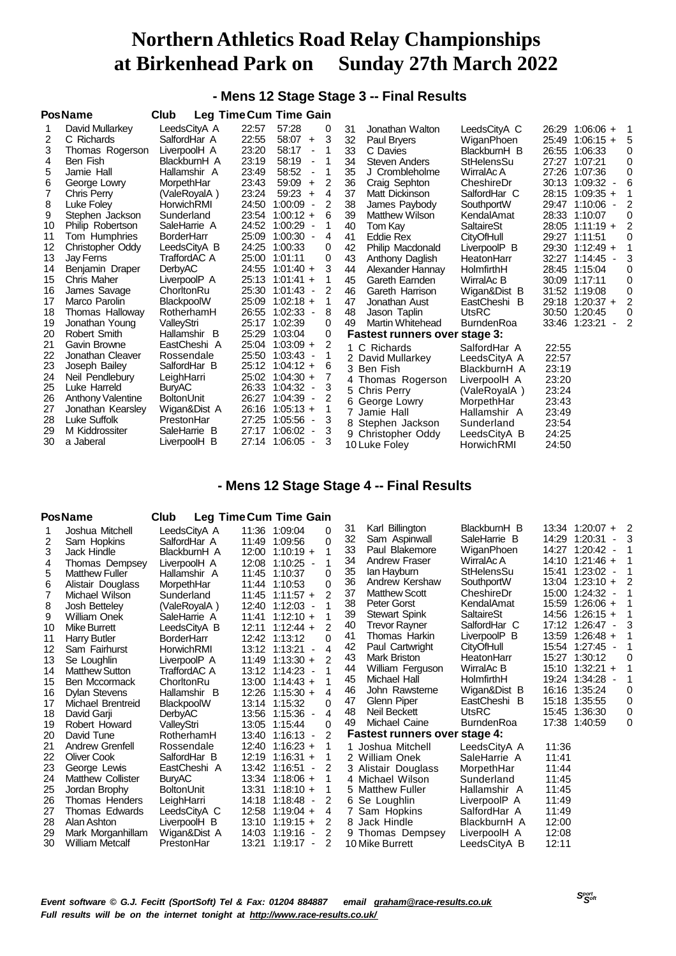# **- Mens 12 Stage Stage 3 -- Final Results**

|    | <b>PosName</b>           | Club              | <b>Leg Time Cum Time Gain</b> |                                           |   |    |                               |              |       |                   |                |
|----|--------------------------|-------------------|-------------------------------|-------------------------------------------|---|----|-------------------------------|--------------|-------|-------------------|----------------|
|    | David Mullarkey          | LeedsCityA A      | 22:57                         | 57:28                                     | 0 | 31 | Jonathan Walton               | LeedsCityA C | 26:29 | $1:06:06 +$       | 1              |
| 2  | C Richards               | SalfordHar A      | 22:55                         | 58:07<br>$\ddot{}$                        | 3 | 32 | Paul Bryers                   | WiganPhoen   | 25:49 | $1:06:15 +$       | 5              |
| 3  | Thomas Rogerson          | LiverpoolH A      | 23:20                         | 58:17<br>$\overline{\phantom{a}}$         |   | 33 | C Davies                      | BlackburnH B | 26:55 | 1:06:33           | 0              |
| 4  | Ben Fish                 | BlackburnH A      | 23:19                         | 58:19<br>٠                                |   | 34 | <b>Steven Anders</b>          | StHelensSu   | 27:27 | 1:07:21           | $\Omega$       |
| 5  | Jamie Hall               | Hallamshir A      | 23:49                         | 58:52<br>$\overline{\phantom{a}}$         |   | 35 | J Crombleholme                | WirralAc A   |       | 27:26 1:07:36     | 0              |
| 6  | George Lowry             | MorpethHar        | 23:43                         | 59:09<br>$\ddot{}$                        | 2 | 36 | Craig Sephton                 | CheshireDr   | 30:13 | $1:09:32 -$       | 6              |
|    | Chris Perrv              | (ValeRoyalA)      | 23:24                         | 59:23<br>$\ddot{}$                        | 4 | 37 | Matt Dickinson                | SalfordHar C | 28:15 | $1:09:35 +$       |                |
| 8  | Luke Foley               | HorwichRMI        | 24:50                         | 1:00:09<br>$\overline{\phantom{a}}$       | 2 | 38 | James Paybody                 | SouthportW   | 29:47 | 1:10:06           |                |
| 9  | Stephen Jackson          | Sunderland        |                               | 23:54 1:00:12 +                           | 6 | 39 | <b>Matthew Wilson</b>         | KendalAmat   | 28:33 | 1:10:07           | $\Omega$       |
| 10 | Philip Robertson         | SaleHarrie A      |                               | 24:52 1:00:29<br>$\overline{\phantom{a}}$ |   | 40 | Tom Kav                       | SaltaireSt   |       | $28:05$ 1:11:19 + |                |
| 11 | Tom Humphries            | <b>BorderHarr</b> | 25:09                         | $1:00:30 -$                               | 4 | 41 | Eddie Rex                     | CityOfHull   |       | 29:27 1:11:51     | 0              |
| 12 | Christopher Oddy         | LeedsCityA B      | 24:25                         | 1:00:33                                   | 0 | 42 | Philip Macdonald              | LiverpoolP B | 29:30 | $1:12:49 +$       |                |
| 13 | <b>Jay Ferns</b>         | TraffordAC A      | 25:00                         | 1:01:11                                   | 0 | 43 | Anthony Daglish               | HeatonHarr   | 32:27 | 1:14:45           |                |
| 14 | Benjamin Draper          | <b>DerbyAC</b>    |                               | 24:55 1:01:40 +                           | 3 | 44 | Alexander Hannay              | HolmfirthH   | 28:45 | 1:15:04           | 0              |
| 15 | Chris Maher              | LiverpoolP A      |                               | 25:13 1:01:41 +                           |   | 45 | Gareth Earnden                | WirralAc B   |       | 30:09 1:17:11     | 0              |
| 16 | James Savage             | ChorltonRu        |                               | 25:30 1:01:43<br>$\blacksquare$           | 2 | 46 | Gareth Harrison               | Wigan&Dist B |       | 31:52 1:19:08     | 0              |
| 17 | Marco Parolin            | BlackpoolW        | 25:09                         | $1:02:18 +$                               | 1 | 47 | Jonathan Aust                 | EastCheshi B | 29:18 | $1:20:37 +$       | 2              |
| 18 | Thomas Halloway          | RotherhamH        | 26:55                         | 1:02:33<br>$\overline{\phantom{a}}$       | 8 | 48 | Jason Taplin                  | UtsRC        | 30:50 | 1:20:45           | 0              |
| 19 | Jonathan Young           | ValleyStri        | 25:17                         | 1:02:39                                   | 0 | 49 | Martin Whitehead              | BurndenRoa   | 33:46 | 1:23:21           | $\overline{2}$ |
| 20 | Robert Smith             | Hallamshir B      | 25:29                         | 1:03:04                                   | 0 |    | Fastest runners over stage 3: |              |       |                   |                |
| 21 | Gavin Browne             | EastCheshi A      |                               | 25:04 1:03:09 +                           | 2 |    | 1 C Richards                  | SalfordHar A | 22:55 |                   |                |
| 22 | Jonathan Cleaver         | Rossendale        | 25:50                         | 1:03:43 -                                 |   |    | 2 David Mullarkey             | LeedsCityA A | 22:57 |                   |                |
| 23 | Joseph Bailey            | SalfordHar B      |                               | 25:12 1:04:12 +                           | 6 |    | 3 Ben Fish                    | BlackburnH A | 23:19 |                   |                |
| 24 | Neil Pendlebury          | LeighHarri        |                               | 25:02 1:04:30 +                           | 7 |    | 4 Thomas Rogerson             | LiverpoolH A | 23:20 |                   |                |
| 25 | Luke Harreld             | <b>BuryAC</b>     | 26:33                         | 1:04:32<br>$\overline{\phantom{a}}$       | 3 |    | 5 Chris Perry                 | (ValeRoyalA) | 23:24 |                   |                |
| 26 | <b>Anthony Valentine</b> | <b>BoltonUnit</b> |                               | 26:27 1:04:39<br>$\overline{\phantom{a}}$ |   | 6. | George Lowry                  | MorpethHar   | 23:43 |                   |                |
| 27 | Jonathan Kearsley        | Wigan&Dist A      | 26:16                         | $1:05:13 +$                               |   | 7  | Jamie Hall                    | Hallamshir A | 23:49 |                   |                |
| 28 | Luke Suffolk             | PrestonHar        | 27:25                         | 1:05:56<br>$\overline{\phantom{a}}$       | 3 |    | 8 Stephen Jackson             | Sunderland   | 23:54 |                   |                |
| 29 | M Kiddrossiter           | SaleHarrie B      | 27:17                         | 1:06:02<br>$\overline{\phantom{a}}$       | 3 |    | 9 Christopher Oddy            | LeedsCityA B | 24:25 |                   |                |
| 30 | a Jaberal                | LiverpoolH B      | 27:14                         | 1:06:05                                   | 3 |    | 10 Luke Folev                 | HorwichRMI   | 24:50 |                   |                |

## **- Mens 12 Stage Stage 4 -- Final Results**

|    | <b>PosName</b>           | <b>Club</b>       |       | Leg Time Cum Time Gain                    |                |    |                                      |                   |       |                                     |   |
|----|--------------------------|-------------------|-------|-------------------------------------------|----------------|----|--------------------------------------|-------------------|-------|-------------------------------------|---|
|    | Joshua Mitchell          | LeedsCityA A      |       | 11:36 1:09:04                             | 0              | 31 | Karl Billington                      | BlackburnH B      |       | 13:34 1:20:07 +                     | 2 |
| 2  | Sam Hopkins              | SalfordHar A      |       | 11:49 1:09:56                             | $\Omega$       | 32 | Sam Aspinwall                        | SaleHarrie B      | 14:29 | 1:20:31<br>$\overline{\phantom{a}}$ |   |
| 3  | Jack Hindle              | BlackburnH A      | 12:00 | $1:10:19 +$                               |                | 33 | Paul Blakemore                       | WiganPhoen        | 14:27 | $1:20:42 -$                         |   |
| 4  | Thomas Dempsey           | LiverpoolH A      | 12:08 | 1:10:25<br>$\overline{\phantom{a}}$       | 1              | 34 | <b>Andrew Fraser</b>                 | WirralAc A        | 14:10 | $1:21:46 +$                         |   |
| 5  | <b>Matthew Fuller</b>    | Hallamshir A      |       | 11:45 1:10:37                             | $\Omega$       | 35 | lan Hayburn                          | <b>StHelensSu</b> | 15:41 | $1:23:02 -$                         |   |
| 6  | Alistair Douglass        | MorpethHar        |       | 11:44 1:10:53                             | 0              | 36 | Andrew Kershaw                       | SouthportW        | 13:04 | $1:23:10 +$                         |   |
| 7  | Michael Wilson           | Sunderland        |       | $11:45$ 1:11:57 +                         | 2              | 37 | <b>Matthew Scott</b>                 | CheshireDr        | 15:00 | $1:24:32 -$                         |   |
| 8  | Josh Betteley            | (ValeRoyalA)      | 12:40 | 1:12:03 -                                 |                | 38 | <b>Peter Gorst</b>                   | KendalAmat        | 15:59 | $1:26:06 +$                         |   |
| 9  | <b>William Onek</b>      | SaleHarrie A      | 11:41 | $1:12:10 +$                               |                | 39 | <b>Stewart Spink</b>                 | <b>SaltaireSt</b> | 14:56 | $1:26:15 +$                         |   |
| 10 | <b>Mike Burrett</b>      | LeedsCityA B      | 12:11 | $1:12:44 +$                               | 2              | 40 | Trevor Rayner                        | SalfordHar C      | 17:12 | $1:26:47 -$                         |   |
| 11 | Harry Butler             | <b>BorderHarr</b> |       | 12:42 1:13:12                             | 0              | 41 | Thomas Harkin                        | LiverpoolP B      | 13:59 | $1:26:48 +$                         |   |
| 12 | Sam Fairhurst            | HorwichRMI        |       | 13:12 1:13:21<br>$\overline{\phantom{a}}$ | 4              | 42 | Paul Cartwright                      | <b>CityOfHull</b> | 15:54 | 1:27:45 -                           |   |
| 13 | Se Loughlin              | LiverpoolP A      |       | $11:49$ 1:13:30 +                         | $\mathfrak{p}$ | 43 | <b>Mark Briston</b>                  | HeatonHarr        | 15:27 | 1:30:12                             |   |
| 14 | <b>Matthew Sutton</b>    | TraffordAC A      |       | 13:12 1:14:23 -                           |                | 44 | William Ferguson                     | WirralAc B        | 15:10 | $1:32:21 +$                         |   |
| 15 | Ben Mccormack            | ChorltonRu        |       | $13:00$ $1:14:43 +$                       | 1              | 45 | Michael Hall                         | HolmfirthH        | 19:24 | $1:34:28 -$                         |   |
| 16 | <b>Dylan Stevens</b>     | Hallamshir B      | 12:26 | $1:15:30 +$                               | 4              | 46 | John Rawsterne                       | Wigan&Dist B      | 16:16 | 1:35:24                             | 0 |
| 17 | Michael Brentreid        | <b>BlackpoolW</b> |       | 13:14 1:15:32                             | 0              | 47 | Glenn Piper                          | EastCheshi B      | 15:18 | 1:35:55                             | 0 |
| 18 | David Garji              | <b>DerbyAC</b>    |       | 13:56 1:15:36 -                           | $\overline{4}$ | 48 | Neil Beckett                         | <b>UtsRC</b>      | 15:45 | 1:36:30                             | 0 |
| 19 | Robert Howard            | ValleyStri        |       | 13:05 1:15:44                             | 0              | 49 | Michael Caine                        | <b>BurndenRoa</b> | 17:38 | 1:40:59                             | 0 |
| 20 | David Tune               | RotherhamH        |       | 13:40 1:16:13 -                           | 2              |    | <b>Fastest runners over stage 4:</b> |                   |       |                                     |   |
| 21 | Andrew Grenfell          | Rossendale        | 12:40 | $1:16:23 +$                               |                |    | Joshua Mitchell                      | LeedsCityA A      | 11:36 |                                     |   |
| 22 | <b>Oliver Cook</b>       | SalfordHar B      |       | $12:19$ 1:16:31 +                         | 1              |    | 2 William Onek                       | SaleHarrie A      | 11:41 |                                     |   |
| 23 | George Lewis             | EastCheshi A      |       | 13:42 1:16:51                             | 2              |    | 3 Alistair Douglass                  | MorpethHar        | 11:44 |                                     |   |
| 24 | <b>Matthew Collister</b> | <b>BuryAC</b>     |       | 13:34 1:18:06 +                           |                |    | 4 Michael Wilson                     | Sunderland        | 11:45 |                                     |   |
| 25 | Jordan Brophy            | <b>BoltonUnit</b> | 13:31 | $1:18:10 +$                               | 1              |    | 5 Matthew Fuller                     | Hallamshir A      | 11:45 |                                     |   |
| 26 | <b>Thomas Henders</b>    | LeighHarri        | 14:18 | 1:18:48<br>$\overline{\phantom{a}}$       | 2              |    | 6 Se Loughlin                        | LiverpoolP A      | 11:49 |                                     |   |
| 27 | Thomas Edwards           | LeedsCityA C      | 12:58 | $1:19:04$ +                               | 4              |    | 7 Sam Hopkins                        | SalfordHar A      | 11:49 |                                     |   |
| 28 | Alan Ashton              | LiverpoolH B      | 13:10 | $1:19:15 +$                               | 2              | 8  | Jack Hindle                          | BlackburnH A      | 12:00 |                                     |   |
| 29 | Mark Morganhillam        | Wigan&Dist A      | 14:03 | 1:19:16<br>$\sim$                         | 2              | 9  | Thomas Dempsey                       | LiverpoolH A      | 12:08 |                                     |   |
| 30 | <b>William Metcalf</b>   | PrestonHar        | 13:21 | 1:19:17<br>$\overline{\phantom{a}}$       | 2              |    | 10 Mike Burrett                      | LeedsCityA B      | 12:11 |                                     |   |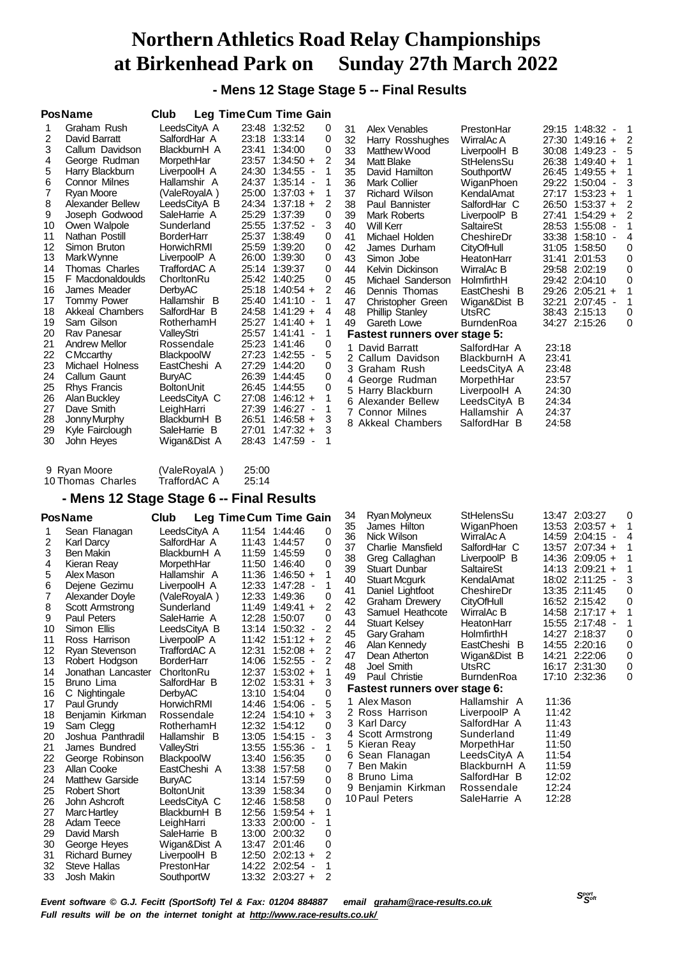**- Mens 12 Stage Stage 5 -- Final Results**

|                         | <b>PosName</b>          | Club              | Leg Time Cum Time Gain |       |             |                          |                |                |                      |
|-------------------------|-------------------------|-------------------|------------------------|-------|-------------|--------------------------|----------------|----------------|----------------------|
| 1                       | Graham Rush             |                   | LeedsCityA A           | 23:48 | 1:32:52     |                          | 0              | 31             | l                    |
| $\overline{\mathbf{c}}$ | David Barratt           |                   | SalfordHar A           | 23:18 | 1:33:14     |                          | 0              | 32             | ŀ                    |
| 3                       | Callum Davidson         |                   | BlackburnH A           | 23:41 | 1:34:00     |                          | 0              | 33             | ľ                    |
| 4                       | George Rudman           | MorpethHar        |                        | 23:57 | $1:34:50 +$ |                          | 2              | 34             | N                    |
| 5                       | Harry Blackburn         |                   | LiverpoolH A           | 24:30 | 1:34:55     |                          | 1              | 35             | D                    |
| 6                       | Connor Milnes           |                   | Hallamshir A           | 24:37 | $1:35:14 -$ |                          | 1              | 36             | ľ                    |
| 7                       | <b>Ryan Moore</b>       |                   | (ValeRoyalA)           | 25:00 | $1:37:03 +$ |                          | 1              | 37             | F                    |
| 8                       | <b>Alexander Bellew</b> |                   | LeedsCityA B           | 24:34 | $1:37:18 +$ |                          | 2              | 38             | F                    |
| 9                       | Joseph Godwood          |                   | SaleHarrie A           | 25:29 | 1:37:39     |                          | 0              | 39             | ľ                    |
| 10                      | Owen Walpole            | Sunderland        |                        | 25:55 | $1:37:52 -$ |                          | 3              | 40             | ١                    |
| 11                      | Nathan Postill          | <b>BorderHarr</b> |                        | 25:37 | 1:38:49     |                          | 0              | 41             | N                    |
| 12                      | Simon Bruton            | HorwichRMI        |                        | 25:59 | 1:39:20     |                          | 0              | 42             | $\ddot{\phantom{0}}$ |
| 13                      | Mark Wynne              |                   | LiverpoolP A           | 26:00 | 1:39:30     |                          | 0              | 43             | Ś                    |
| 14                      | <b>Thomas Charles</b>   |                   | TraffordAC A           | 25:14 | 1:39:37     |                          | 0              | 44             | ŀ                    |
| 15                      | F Macdonaldoulds        | ChorltonRu        |                        | 25:42 | 1:40:25     |                          | 0              | 45             | ľ                    |
| 16                      | James Meader            | DerbyAC           |                        | 25:18 | $1:40:54 +$ |                          | $\overline{2}$ | 46             | D                    |
| 17                      | Tommy Power             | Hallamshir        | B                      | 25:40 | 1:41:10     |                          | 1              | 47             | C                    |
| 18                      | <b>Akkeal Chambers</b>  | SalfordHar        | - B                    | 24:58 | $1:41:29 +$ |                          | 4              | 48             | F                    |
| 19                      | Sam Gilson              |                   | RotherhamH             | 25:27 | $1:41:40 +$ |                          | 1              | 49             | C                    |
| 20                      | Rav Panesar             | ValleyStri        |                        | 25:57 | 1:41:41     |                          | 1              | Fast           |                      |
| 21                      | <b>Andrew Mellor</b>    |                   | Rossendale             | 25:23 | 1:41:46     |                          | 0              | 1              | Da                   |
| 22                      | <b>C</b> Mccarthy       | BlackpoolW        |                        | 27:23 | $1:42:55 -$ |                          | 5              | $\overline{2}$ | Ca                   |
| 23                      | Michael Holness         |                   | EastCheshi A           | 27:29 | 1:44:20     |                          | 0              | 3              | Gr                   |
| 24                      | Callum Gaunt            | <b>BuryAC</b>     |                        | 26:39 | 1:44:45     |                          | 0              | 4              | Ge                   |
| 25                      | Rhys Francis            | <b>BoltonUnit</b> |                        | 26:45 | 1:44:55     |                          | 0              | 5              | Ha                   |
| 26                      | Alan Buckley            |                   | LeedsCityA C           | 27:08 | $1:46:12 +$ |                          | 1              | 6              | Al6                  |
| 27                      | Dave Smith              | LeighHarri        |                        | 27:39 | $1:46:27 -$ |                          | 1              | 7              | Cc                   |
| 28                      | Jonny Murphy            |                   | BlackburnH B           | 26:51 | $1:46:58 +$ |                          | 3              | 8              | Ak                   |
| 29                      | Kyle Fairclough         |                   | SaleHarrie B           | 27:01 | $1:47:32 +$ |                          | 3              |                |                      |
| 30                      | John Heyes              |                   | Wigan&Dist A           | 28:43 | 1:47:59     | $\overline{\phantom{a}}$ | 1              |                |                      |
|                         |                         |                   |                        |       |             |                          |                |                |                      |
|                         |                         |                   |                        |       |             |                          |                |                |                      |

| 31 | <b>Alex Venables</b>          | PrestonHar        | 29:15<br>1:48:32     | 1              |
|----|-------------------------------|-------------------|----------------------|----------------|
| 32 | Harry Rosshughes              | WirralAc A        | 27:30<br>$1:49:16 +$ | $\overline{c}$ |
| 33 | Matthew Wood                  | LiverpoolH B      | $1:49:23 -$<br>30:08 | 5              |
| 34 | <b>Matt Blake</b>             | StHelensSu        | $1:49:40 +$<br>26:38 | $\mathbf{1}$   |
| 35 | David Hamilton                | SouthportW        | 26:45 1:49:55 +      | $\overline{1}$ |
| 36 | <b>Mark Collier</b>           | WiganPhoen        | 29:22 1:50:04 -      | 3              |
| 37 | <b>Richard Wilson</b>         | KendalAmat        | 27:17<br>$1:53:23 +$ | 1              |
| 38 | Paul Bannister                | SalfordHar C      | 26:50 1:53:37 +      | $\frac{2}{2}$  |
| 39 | Mark Roberts                  | LiverpoolP B      | $1:54:29 +$<br>27:41 |                |
| 40 | Will Kerr                     | <b>SaltaireSt</b> | 28:53<br>$1:55:08 -$ | $\overline{1}$ |
| 41 | Michael Holden                | CheshireDr        | 33:38 1:58:10 -      | 4              |
| 42 | James Durham                  | CityOfHull        | 31:05 1:58:50        | 0              |
| 43 | Simon Jobe                    | HeatonHarr        | 31:41<br>2:01:53     | $\mathbf 0$    |
| 44 | Kelvin Dickinson              | WirralAc B        | 29:58 2:02:19        | $\mathbf 0$    |
| 45 | Michael Sanderson             | HolmfirthH        | 29:42<br>2:04:10     | 0              |
| 46 | Dennis Thomas                 | EastCheshi B      | 29:26 2:05:21 +      | 1              |
| 47 | Christopher Green             | Wigan&Dist B      | 32:21<br>$2:07:45 -$ | $\overline{1}$ |
| 48 | <b>Phillip Stanley</b>        | <b>UtsRC</b>      | 38:43 2:15:13        | 0              |
| 49 | Gareth Lowe                   | <b>BurndenRoa</b> | 34:27 2:15:26        | 0              |
|    | Fastest runners over stage 5: |                   |                      |                |
| 1  | David Barratt                 | SalfordHar A      | 23:18                |                |
|    | 2 Callum Davidson             | BlackburnH A      | 23:41                |                |
|    | 3 Graham Rush                 | LeedsCityA A      | 23:48                |                |
|    | 4 George Rudman               | MorpethHar        | 23:57                |                |
|    | 5 Harry Blackburn             | LiverpoolH A      | 24:30                |                |
|    | 6 Alexander Bellew            | LeedsCityA B      | 24:34                |                |
|    | 7 Connor Milnes               | Hallamshir A      | 24:37                |                |
|    | 8 Akkeal Chambers             | SalfordHar B      | 24:58                |                |

| 9 Ryan Moore      | (ValeRoyalA) | 25:00 |
|-------------------|--------------|-------|
| 10 Thomas Charles | TraffordAC A | 25:14 |

## **- Mens 12 Stage Stage 6 -- Final Results**

| Leg Time Cum Time Gain |
|------------------------|
|                        |

| 1              | Sean Flanagan          | LeedsCityA A      | 11:54 | 1:44:46                             | 0                                          |
|----------------|------------------------|-------------------|-------|-------------------------------------|--------------------------------------------|
|                | Karl Darcy             | SalfordHar A      | 11:43 | 1:44:57                             | 0                                          |
| $\frac{2}{3}$  | <b>Ben Makin</b>       | BlackburnH A      | 11:59 | 1:45:59                             | 0                                          |
| 4              | Kieran Reay            | MorpethHar        | 11:50 | 1:46:40                             | 0                                          |
| 5              | Alex Mason             | Hallamshir A      | 11:36 | $1:46:50 +$                         | 1                                          |
| 6              | Dejene Gezimu          | LiverpoolH A      | 12:33 | 1:47:28                             | 1                                          |
| $\overline{7}$ | Alexander Doyle        | (ValeRoyalA)      | 12:33 | 1:49:36                             | 0                                          |
| 8              | Scott Armstrong        | Sunderland        | 11:49 | $1:49:41 +$                         | $\overline{c}$                             |
| 9              | Paul Peters            | SaleHarrie A      | 12:28 | 1:50:07                             | 0                                          |
| 10             | Simon Ellis            | LeedsCityA B      | 13:14 | 1:50:32<br>$\overline{\phantom{a}}$ |                                            |
| 11             | Ross Harrison          | LiverpoolP A      | 11:42 | $1:51:12 +$                         | $\begin{array}{c} 2 \\ 2 \\ 2 \end{array}$ |
| 12             | Ryan Stevenson         | TraffordAC A      | 12:31 | $1:52:08 +$                         |                                            |
| 13             | Robert Hodgson         | <b>BorderHarr</b> | 14:06 | 1:52:55<br>$\sim$                   | $\overline{2}$                             |
| 14             | Jonathan Lancaster     | ChorltonRu        | 12:37 | $1:53:02 +$                         | 1                                          |
| 15             | Bruno Lima             | SalfordHar B      | 12:02 | $1:53:31 +$                         | 3                                          |
| 16             | C Nightingale          | DerbyAC           | 13:10 | 1:54:04                             | 0                                          |
| 17             | Paul Grundy            | <b>HorwichRMI</b> | 14:46 | 1:54:06<br>$\sim$                   | 5                                          |
| 18             | Benjamin Kirkman       | Rossendale        | 12:24 | $1:54:10 +$                         | 3                                          |
| 19             | Sam Clegg              | RotherhamH        | 12:32 | 1:54:12                             | 0                                          |
| 20             | Joshua Panthradil      | Hallamshir<br>B   | 13:05 | $1:54:15 -$                         | 3                                          |
| 21             | James Bundred          | ValleyStri        | 13:55 | 1:55:36 -                           | 1                                          |
| 22             | George Robinson        | BlackpoolW        | 13:40 | 1:56:35                             | 0                                          |
| 23             | Allan Cooke            | EastCheshi A      | 13:38 | 1:57:58                             | 0                                          |
| 24             | <b>Matthew Garside</b> | <b>BuryAC</b>     | 13:14 | 1:57:59                             | 0                                          |
| 25             | <b>Robert Short</b>    | <b>BoltonUnit</b> | 13:39 | 1:58:34                             | 0                                          |
| 26             | John Ashcroft          | LeedsCityA C      | 12:46 | 1:58:58                             | 0                                          |
| 27             | Marc Hartley           | BlackburnH B      | 12:56 | $1:59:54 +$                         | 1                                          |
| 28             | Adam Teece             | LeighHarri        | 13:33 | 2:00:00<br>$\overline{\phantom{a}}$ | 1                                          |
| 29             | David Marsh            | SaleHarrie B      | 13:00 | 2:00:32                             | 0                                          |
| 30             | George Heyes           | Wigan&Dist A      | 13:47 | 2:01:46                             | 0                                          |
| 31             | <b>Richard Burney</b>  | LiverpoolH B      | 12:50 | $2:02:13 +$                         | 2                                          |
| 32             | <b>Steve Hallas</b>    | PrestonHar        | 14:22 | 2:02:54                             | 1                                          |
| 33             | Josh Makin             | SouthportW        | 13:32 | $2:03:27 +$                         | $\overline{2}$                             |

| 34 | Ryan Molyneux                 | StHelensSu   | 13:47<br>2:03:27<br>0           |
|----|-------------------------------|--------------|---------------------------------|
| 35 | James Hilton                  | WiganPhoen   | 1<br>13:53 2:03:57 +            |
| 36 | Nick Wilson                   | WirralAc A   | 4<br>14:59<br>2:04:15<br>$\sim$ |
| 37 | Charlie Mansfield             | SalfordHar C | 1<br>$2:07:34 +$<br>13:57       |
| 38 | Greg Callaghan                | LiverpoolP B | 1<br>$2:09:05 +$<br>14:36       |
| 39 | <b>Stuart Dunbar</b>          | SaltaireSt   | 1<br>14:13<br>$2:09:21 +$       |
| 40 | <b>Stuart Mcgurk</b>          | KendalAmat   | 3<br>$2:11:25 -$<br>18:02       |
| 41 | Daniel Lightfoot              | CheshireDr   | 0<br>13:35<br>2:11:45           |
| 42 | Graham Drewery                | CityOfHull   | 0<br>16:52 2:15:42              |
| 43 | Samuel Heathcote              | WirralAc B   | 1<br>14:58 2:17:17 +            |
| 44 | <b>Stuart Kelsey</b>          | HeatonHarr   | 1<br>15:55 2:17:48 -            |
| 45 | Gary Graham                   | HolmfirthH   | 0<br>14:27<br>2:18:37           |
| 46 | Alan Kennedy                  | EastCheshi B | 0<br>14:55 2:20:16              |
| 47 | Dean Atherton                 | Wigan&Dist B | 0<br>14:21<br>2:22:06           |
|    | 48 Joel Smith                 | <b>UtsRC</b> | 2:31:30<br>0<br>16:17           |
| 49 | Paul Christie                 | BurndenRoa   | 17:10<br>2:32:36<br>0           |
|    | Fastest runners over stage 6: |              |                                 |
|    | 1 Alex Mason                  | Hallamshir A | 11:36                           |
|    | 2 Ross Harrison               | LiverpoolP A | 11:42                           |
|    | 3 Karl Darcy                  | SalfordHar A | 11:43                           |
|    | 4 Scott Armstrong             | Sunderland   | 11:49                           |
|    | 5 Kieran Reay                 | MorpethHar   | 11:50                           |
|    | 6 Sean Flanagan               | LeedsCityA A | 11:54                           |
|    | 7 Ben Makin                   | BlackburnH A | 11:59                           |
|    | 8 Bruno Lima                  | SalfordHar B | 12:02                           |
|    | 9 Benjamin Kirkman            | Rossendale   | 12:24                           |
|    | 10 Paul Peters                | SaleHarrie A | 12:28                           |
|    |                               |              |                                 |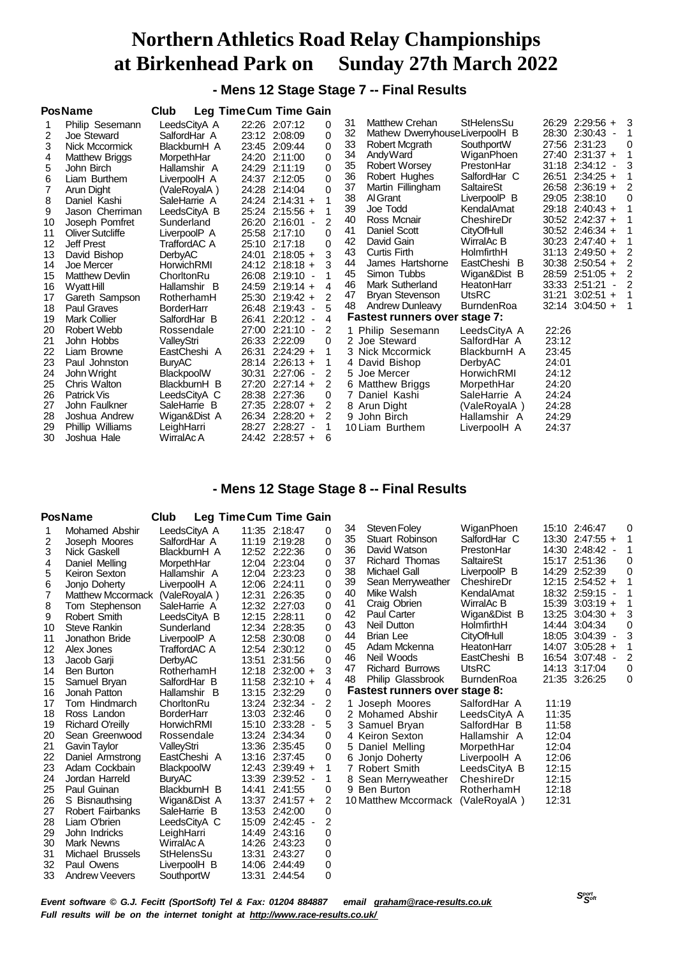**- Mens 12 Stage Stage 7 -- Final Results**

|    | <b>PosName</b>        | Club              | <b>Leg Time Cum Time Gain</b> |                   |                               |    |                                |                   |       |                     |                          |          |
|----|-----------------------|-------------------|-------------------------------|-------------------|-------------------------------|----|--------------------------------|-------------------|-------|---------------------|--------------------------|----------|
|    | Philip Sesemann       | LeedsCityA A      |                               | 22:26 2:07:12     | 0                             | 31 | <b>Matthew Crehan</b>          | StHelensSu        |       | $26:29$ 2:29:56 + 3 |                          |          |
| 2  | Joe Steward           | SalfordHar A      |                               | 23:12 2:08:09     | $\Omega$                      | 32 | Mathew DwerryhouseLiverpoolH B |                   |       | 28:30 2:30:43 -     |                          |          |
| 3  | Nick Mccormick        | BlackburnH A      |                               | 23:45 2:09:44     | 0                             | 33 | Robert Mcgrath                 | SouthportW        |       | 27:56 2:31:23       |                          | 0        |
| 4  | <b>Matthew Briggs</b> | MorpethHar        |                               | 24:20 2:11:00     | 0                             | 34 | AndyWard                       | WiganPhoen        |       | 27:40 2:31:37 +     |                          |          |
| 5  | John Birch            | Hallamshir A      |                               | 24:29 2:11:19     | 0                             | 35 | <b>Robert Worsey</b>           | PrestonHar        |       | 31:18 2:34:12       |                          |          |
| 6  | Liam Burthem          | LiverpoolH A      |                               | 24:37 2:12:05     | 0                             | 36 | Robert Hughes                  | SalfordHar C      |       | 26:51 2:34:25 +     |                          |          |
|    | Arun Dight            | (ValeRoyalA)      |                               | 24:28 2:14:04     | $\Omega$                      | 37 | Martin Fillingham              | SaltaireSt        |       | 26:58 2:36:19 +     |                          |          |
| 8  | Daniel Kashi          | SaleHarrie A      |                               | 24:24 2:14:31 +   |                               | 38 | Al Grant                       | LiverpoolP B      |       | 29:05 2:38:10       |                          | $\Omega$ |
| 9  | Jason Cherriman       | LeedsCityA B      |                               | 25:24 2:15:56 +   |                               | 39 | Joe Todd                       | KendalAmat        |       | 29:18 2:40:43 +     |                          |          |
| 10 | Joseph Pomfret        | Sunderland        |                               | 26:20 2:16:01 -   | 2                             | 40 | Ross Mcnair                    | CheshireDr        |       | $30:52$ $2:42:37 +$ |                          |          |
| 11 | Oliver Sutcliffe      | LiverpoolP A      |                               | 25:58 2:17:10     | 0                             | 41 | Daniel Scott                   | CityOfHull        |       | $30:52$ 2:46:34 +   |                          |          |
| 12 | <b>Jeff Prest</b>     | TraffordAC A      |                               | 25:10 2:17:18     | $\Omega$                      | 42 | David Gain                     | WirralAc B        |       | 30:23 2:47:40 +     |                          |          |
| 13 | David Bishop          | <b>DerbyAC</b>    |                               | 24:01 2:18:05 +   | 3                             | 43 | <b>Curtis Firth</b>            | HolmfirthH        |       | $31:13$ 2:49:50 +   |                          |          |
| 14 | Joe Mercer            | HorwichRMI        |                               | $24:12$ 2:18:18 + | з                             | 44 | James Hartshorne               | EastCheshi B      |       | $30:38$ 2:50:54 +   |                          |          |
| 15 | <b>Matthew Devlin</b> | ChorltonRu        |                               | 26:08 2:19:10 -   |                               | 45 | Simon Tubbs                    | Wigan&Dist B      |       | 28:59 2:51:05 +     |                          |          |
| 16 | Wyatt Hill            | Hallamshir B      |                               | 24:59 2:19:14 +   | 4                             | 46 | Mark Sutherland                | HeatonHarr        |       | 33:33 2:51:21       | $\overline{\phantom{a}}$ |          |
| 17 | Gareth Sampson        | RotherhamH        |                               | 25:30 2:19:42 +   | 2                             | 47 | <b>Bryan Stevenson</b>         | <b>UtsRC</b>      | 31:21 | $3:02:51 +$         |                          | 1        |
| 18 | <b>Paul Graves</b>    | <b>BorderHarr</b> |                               | 26:48 2:19:43 -   |                               | 48 | <b>Andrew Dunleavy</b>         | <b>BurndenRoa</b> | 32:14 | $3:04:50 +$         |                          | 1        |
| 19 | <b>Mark Collier</b>   | SalfordHar B      |                               | 26:41 2:20:12 -   | 4                             |    | Fastest runners over stage 7:  |                   |       |                     |                          |          |
| 20 | Robert Webb           | Rossendale        |                               | 27:00 2:21:10 -   | 2                             |    | 1 Philip Sesemann              | LeedsCityA A      | 22:26 |                     |                          |          |
| 21 | John Hobbs            | ValleyStri        |                               | 26:33 2:22:09     | 0                             |    | 2 Joe Steward                  | SalfordHar A      | 23:12 |                     |                          |          |
| 22 | Liam Browne           | EastCheshi A      | 26:31                         | $2:24:29 +$       |                               |    | 3 Nick Mccormick               | BlackburnH A      | 23:45 |                     |                          |          |
| 23 | Paul Johnston         | <b>BuryAC</b>     |                               | 28:14 2:26:13 +   |                               |    | 4 David Bishop                 | DerbyAC           | 24:01 |                     |                          |          |
| 24 | John Wright           | BlackpoolW        |                               | 30:31 2:27:06     | 2<br>$\overline{\phantom{a}}$ |    | 5 Joe Mercer                   | HorwichRMI        | 24:12 |                     |                          |          |
| 25 | Chris Walton          | BlackburnH B      |                               | 27:20 2:27:14 +   | 2                             |    | 6 Matthew Briggs               | MorpethHar        | 24:20 |                     |                          |          |
| 26 | Patrick Vis           | LeedsCityA C      | 28:38                         | 2:27:36           | 0                             |    | 7 Daniel Kashi                 | SaleHarrie A      | 24:24 |                     |                          |          |
| 27 | John Faulkner         | SaleHarrie B      |                               | 27:35 2:28:07 +   | 2                             |    | 8 Arun Dight                   | (ValeRoyalA)      | 24:28 |                     |                          |          |
| 28 | Joshua Andrew         | Wigan&Dist A      |                               | 26:34 2:28:20 +   | 2                             |    | 9 John Birch                   | Hallamshir A      | 24:29 |                     |                          |          |
| 29 | Phillip Williams      | LeighHarri        |                               | 28:27 2:28:27     | 1                             |    | 10 Liam Burthem                | LiverpoolH A      | 24:37 |                     |                          |          |
| 30 | Joshua Hale           | WirralAc A        |                               | 24:42 2:28:57 +   | 6                             |    |                                |                   |       |                     |                          |          |

## **- Mens 12 Stage Stage 8 -- Final Results**

|    | <b>PosName</b>                 | Club              |       | Leg Time Cum Time Gain |          |    |                               |                   |       |                     |   |
|----|--------------------------------|-------------------|-------|------------------------|----------|----|-------------------------------|-------------------|-------|---------------------|---|
| 1  | Mohamed Abshir                 | LeedsCityA A      |       | 11:35 2:18:47          | 0        | 34 | Steven Foley                  | WiganPhoen        |       | 15:10 2:46:47       | 0 |
| 2  | Joseph Moores                  | SalfordHar A      |       | 11:19 2:19:28          | 0        | 35 | Stuart Robinson               | SalfordHar C      |       | 13:30 2:47:55 +     |   |
| 3  | Nick Gaskell                   | BlackburnH A      |       | 12:52 2:22:36          | 0        | 36 | David Watson                  | PrestonHar        |       | 14:30 2:48:42 -     |   |
| 4  | Daniel Melling                 | MorpethHar        |       | 12:04 2:23:04          | 0        | 37 | <b>Richard Thomas</b>         | <b>SaltaireSt</b> |       | 15:17 2:51:36       | 0 |
| 5  | Keiron Sexton                  | Hallamshir A      |       | 12:04 2:23:23          | 0        | 38 | Michael Gall                  | LiverpoolP B      |       | 14:29 2:52:39       | 0 |
| 6  | Jonjo Doherty                  | LiverpoolH A      |       | 12:06 2:24:11          | $\Omega$ | 39 | Sean Merryweather             | CheshireDr        |       | 12:15 2:54:52 +     |   |
| 7  | Matthew Mccormack (ValeRoyalA) |                   |       | 12:31 2:26:35          | 0        | 40 | Mike Walsh                    | KendalAmat        |       | 18:32 2:59:15 -     |   |
| 8  | Tom Stephenson                 | SaleHarrie A      |       | 12:32 2:27:03          | 0        | 41 | Craig Obrien                  | WirralAc B        |       | $15:39$ $3:03:19 +$ |   |
| 9  | Robert Smith                   | LeedsCityA B      |       | 12:15 2:28:11          | 0        | 42 | Paul Carter                   | Wigan&Dist B      | 13:25 | $3:04:30 +$         | 3 |
| 10 | Steve Rankin                   | Sunderland        |       | 12:34 2:28:35          | 0        | 43 | Neil Dutton                   | HolmfirthH        |       | 14:44 3:04:34       | 0 |
| 11 | Jonathon Bride                 | LiverpoolP A      |       | 12:58 2:30:08          | 0        | 44 | <b>Brian Lee</b>              | CityOfHull        |       | 18:05 3:04:39 -     | 3 |
| 12 | Alex Jones                     | TraffordAC A      |       | 12:54 2:30:12          | 0        | 45 | Adam Mckenna                  | HeatonHarr        | 14:07 | $3:05:28 +$         |   |
| 13 | Jacob Garji                    | DerbyAC           | 13:51 | 2:31:56                | 0        | 46 | Neil Woods                    | EastCheshi B      | 16:54 | $3:07:48$ -         | 2 |
| 14 | <b>Ben Burton</b>              | RotherhamH        |       | 12:18 2:32:00 +        | 3        | 47 | <b>Richard Burrows</b>        | <b>UtsRC</b>      |       | 14:13 3:17:04       | 0 |
| 15 | Samuel Bryan                   | SalfordHar B      |       | $11:58$ 2:32:10 +      | 4        | 48 | Philip Glassbrook             | <b>BurndenRoa</b> |       | 21:35 3:26:25       | 0 |
| 16 | Jonah Patton                   | Hallamshir B      |       | 13:15 2:32:29          | 0        |    | Fastest runners over stage 8: |                   |       |                     |   |
| 17 | Tom Hindmarch                  | ChorltonRu        |       | 13:24 2:32:34 -        | 2        |    | Joseph Moores                 | SalfordHar A      | 11:19 |                     |   |
| 18 | Ross Landon                    | <b>BorderHarr</b> |       | 13:03 2:32:46          | 0        | 2  | Mohamed Abshir                | LeedsCityA A      | 11:35 |                     |   |
| 19 | <b>Richard O'reilly</b>        | HorwichRMI        |       | 15:10 2:33:28 -        | 5        | 3  | Samuel Bryan                  | SalfordHar B      | 11:58 |                     |   |
| 20 | Sean Greenwood                 | Rossendale        |       | 13:24 2:34:34          | 0        |    | 4 Keiron Sexton               | Hallamshir A      | 12:04 |                     |   |
| 21 | Gavin Taylor                   | ValleyStri        |       | 13:36 2:35:45          | 0        | 5  | Daniel Melling                | MorpethHar        | 12:04 |                     |   |
| 22 | Daniel Armstrong               | EastCheshi A      |       | 13:16 2:37:45          | 0        | 6  | Jonjo Doherty                 | LiverpoolH A      | 12:06 |                     |   |
| 23 | Adam Cockbain                  | BlackpoolW        |       | 12:43 2:39:49 +        | 1        |    | 7 Robert Smith                | LeedsCityA B      | 12:15 |                     |   |
| 24 | Jordan Harreld                 | <b>BuryAC</b>     | 13:39 | $2:39:52 -$            | 1        |    | Sean Merryweather             | CheshireDr        | 12:15 |                     |   |
| 25 | Paul Guinan                    | BlackburnH B      | 14:41 | 2:41:55                | 0        | 9  | <b>Ben Burton</b>             | RotherhamH        | 12:18 |                     |   |
| 26 | S Bisnauthsing                 | Wigan&Dist A      | 13:37 | $2:41:57 +$            | 2        |    | 10 Matthew Mccormack          | (ValeRoyalA)      | 12:31 |                     |   |
| 27 | Robert Fairbanks               | SaleHarrie B      |       | 13:53 2:42:00          | 0        |    |                               |                   |       |                     |   |
| 28 | Liam O'brien                   | LeedsCityA C      | 15:09 | $2:42:45 -$            | 2        |    |                               |                   |       |                     |   |
| 29 | John Indricks                  | LeighHarri        | 14:49 | 2:43:16                | 0        |    |                               |                   |       |                     |   |
| 30 | <b>Mark Newns</b>              | WirralAc A        |       | 14:26 2:43:23          | 0        |    |                               |                   |       |                     |   |
| 31 | Michael Brussels               | StHelensSu        |       | 13:31 2:43:27          | 0        |    |                               |                   |       |                     |   |
| 32 | Paul Owens                     | LiverpoolH B      |       | 14:06 2:44:49          | 0        |    |                               |                   |       |                     |   |
| 33 | <b>Andrew Veevers</b>          | SouthportW        | 13:31 | 2:44:54                | 0        |    |                               |                   |       |                     |   |

 *Soft Event software © G.J. Fecitt (SportSoft) Tel & Fax: 01204 884887 email [graham@race-results.co.uk](mailto:graham@race-results.co.uk) Full results will be on the internet tonight at <http://www.race-results.co.uk/>*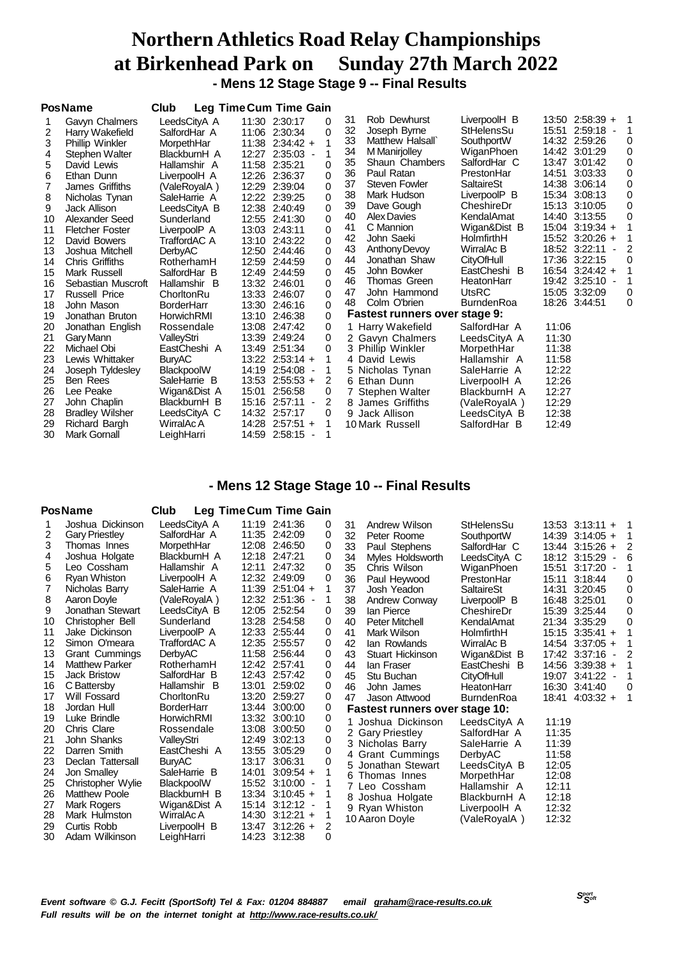# **Northern Athletics Road Relay Championships at Birkenhead Park on Sunday 27th March 2022 - Mens 12 Stage Stage 9 -- Final Results**

|    | <b>PosName</b>         | Club              | <b>Leg Time Cum Time Gain</b>                |          |    |                               |                   |                      |                          |          |
|----|------------------------|-------------------|----------------------------------------------|----------|----|-------------------------------|-------------------|----------------------|--------------------------|----------|
|    | Gavyn Chalmers         | LeedsCityA A      | 11:30 2:30:17                                | $\Omega$ | 31 | Rob Dewhurst                  | LiverpoolH B      | 13:50 2:58:39 +      |                          | -1       |
| 2  | Harry Wakefield        | SalfordHar A      | 11:06 2:30:34                                | $\Omega$ | 32 | Joseph Byrne                  | StHelensSu        | 15:51<br>2:59:18     | $\overline{\phantom{a}}$ |          |
| 3  | <b>Phillip Winkler</b> | MorpethHar        | $11:38$ 2:34:42 +                            |          | 33 | Matthew Halsall               | SouthportW        | 14:32 2:59:26        |                          | 0        |
| 4  | Stephen Walter         | BlackburnH A      | 12:27 2:35:03 -                              | 1        | 34 | M Manirjolley                 | WiganPhoen        | 14:42 3:01:29        |                          | 0        |
| 5  | David Lewis            | Hallamshir A      | 11:58<br>2:35:21                             | 0        | 35 | Shaun Chambers                | SalfordHar C      | 13:47 3:01:42        |                          | 0        |
| 6  | Ethan Dunn             | LiverpoolH A      | 12:26 2:36:37                                | 0        | 36 | Paul Ratan                    | PrestonHar        | 14:51<br>3:03:33     |                          | 0        |
|    | James Griffiths        | (ValeRovalA)      | 12:29 2:39:04                                | 0        | 37 | Steven Fowler                 | SaltaireSt        | 14:38 3:06:14        |                          | 0        |
| 8  | Nicholas Tynan         | SaleHarrie A      | 12:22 2:39:25                                | 0        | 38 | Mark Hudson                   | LiverpoolP B      | 15:34 3:08:13        |                          | $\Omega$ |
| 9  | Jack Allison           | LeedsCityA B      | 12:38 2:40:49                                | 0        | 39 | Dave Gough                    | CheshireDr        | 15:13 3:10:05        |                          | $\Omega$ |
| 10 | Alexander Seed         | Sunderland        | 12:55 2:41:30                                | $\Omega$ | 40 | Alex Davies                   | KendalAmat        | 14:40 3:13:55        |                          | 0        |
| 11 | <b>Fletcher Foster</b> | LiverpoolP A      | 13:03 2:43:11                                | 0        | 41 | C Mannion                     | Wigan&Dist B      | 15:04<br>$3:19:34 +$ |                          |          |
| 12 | David Bowers           | TraffordAC A      | 13:10 2:43:22                                | $\Omega$ | 42 | John Saeki                    | HolmfirthH        | 15:52 3:20:26 +      |                          |          |
| 13 | Joshua Mitchell        | DerbyAC           | 12:50 2:44:46                                | $\Omega$ | 43 | Anthony Devoy                 | WirralAc B        | 18:52 3:22:11        |                          |          |
| 14 | <b>Chris Griffiths</b> | RotherhamH        | 12:59 2:44:59                                | $\Omega$ | 44 | Jonathan Shaw                 | <b>CityOfHull</b> | 17:36 3:22:15        |                          | 0        |
| 15 | Mark Russell           | SalfordHar B      | 12:49 2:44:59                                | 0        | 45 | John Bowker                   | EastCheshi B      | 16:54 3:24:42 +      |                          |          |
| 16 | Sebastian Muscroft     | Hallamshir B      | 13:32 2:46:01                                | $\Omega$ | 46 | Thomas Green                  | HeatonHarr        | 19:42 3:25:10 -      |                          |          |
| 17 | <b>Russell Price</b>   | ChorltonRu        | 13:33 2:46:07                                | $\Omega$ | 47 | John Hammond                  | <b>UtsRC</b>      | 15:05 3:32:09        |                          | 0        |
| 18 | John Mason             | <b>BorderHarr</b> | 13:30 2:46:16                                | $\Omega$ | 48 | Colm O'brien                  | <b>BurndenRoa</b> | 18:26 3:44:51        |                          | $\Omega$ |
| 19 | Jonathan Bruton        | HorwichRMI        | 13:10 2:46:38                                | 0        |    | Fastest runners over stage 9: |                   |                      |                          |          |
| 20 | Jonathan English       | Rossendale        | 13:08 2:47:42                                | 0        |    | 1 Harry Wakefield             | SalfordHar A      | 11:06                |                          |          |
| 21 | Gary Mann              | ValleyStri        | 13:39 2:49:24                                | $\Omega$ |    | Gavyn Chalmers                | LeedsCityA A      | 11:30                |                          |          |
| 22 | Michael Obi            | EastCheshi A      | 13:49 2:51:34                                | $\Omega$ |    | 3 Phillip Winkler             | MorpethHar        | 11:38                |                          |          |
| 23 | Lewis Whittaker        | <b>BuryAC</b>     | $13:22$ $2:53:14 +$                          |          |    | 4 David Lewis                 | Hallamshir A      | 11:58                |                          |          |
| 24 | Joseph Tyldesley       | BlackpoolW        | 14:19 2:54:08 -                              |          |    | 5 Nicholas Tynan              | SaleHarrie A      | 12:22                |                          |          |
| 25 | Ben Rees               | SaleHarrie B      | $13:53$ 2:55:53 +                            | 2        |    | 6 Ethan Dunn                  | LiverpoolH A      | 12:26                |                          |          |
| 26 | Lee Peake              | Wigan&Dist A      | 15:01<br>2:56:58                             | 0        |    | Stephen Walter                | BlackburnH A      | 12:27                |                          |          |
| 27 | John Chaplin           | BlackburnH B      | 15:16<br>2:57:11<br>$\overline{\phantom{a}}$ | 2        |    | 8 James Griffiths             | (ValeRoyalA)      | 12:29                |                          |          |
| 28 | <b>Bradley Wilsher</b> | LeedsCityA C      | 14:32 2:57:17                                | 0        |    | 9 Jack Allison                | LeedsCityA B      | 12:38                |                          |          |
| 29 | Richard Bargh          | WirralAc A        | 14:28<br>$2:57:51 +$                         | 1        |    | 10 Mark Russell               | SalfordHar B      | 12:49                |                          |          |
| 30 | Mark Gornall           | LeighHarri        | 14:59 2:58:15                                |          |    |                               |                   |                      |                          |          |

## **- Mens 12 Stage Stage 10 -- Final Results**

### **PosName Club Leg TimeCum Time Gain**

|    | Joshua Dickinson      | LeedsCityA A      |       | 11:19 2:41:36       | 0        | 31 | Andrew Wilson                  | StHelensSu        |       | $13:53$ $3:13:11 +$ |   |
|----|-----------------------|-------------------|-------|---------------------|----------|----|--------------------------------|-------------------|-------|---------------------|---|
| 2  | <b>Gary Priestley</b> | SalfordHar A      |       | 11:35 2:42:09       | 0        | 32 | Peter Roome                    | SouthportW        |       | 14:39 3:14:05 +     |   |
| 3  | Thomas Innes          | MorpethHar        |       | 12:08 2:46:50       | 0        | 33 | Paul Stephens                  | SalfordHar C      |       | 13:44 3:15:26 +     | 2 |
| 4  | Joshua Holgate        | BlackburnH A      |       | 12:18 2:47:21       | 0        | 34 | Myles Holdsworth               | LeedsCityA C      |       | 18:12 3:15:29       | 6 |
| 5  | Leo Cossham           | Hallamshir A      |       | 12:11 2:47:32       | 0        | 35 | Chris Wilson                   | WiganPhoen        |       | 15:51 3:17:20 -     |   |
| 6  | Ryan Whiston          | LiverpoolH A      |       | 12:32 2:49:09       | 0        | 36 | Paul Heywood                   | PrestonHar        |       | 15:11 3:18:44       |   |
|    | Nicholas Barry        | SaleHarrie A      |       | 11:39 2:51:04 +     | 1        | 37 | Josh Yeadon                    | SaltaireSt        |       | 14:31 3:20:45       | 0 |
| 8  | Aaron Doyle           | (ValeRoyalA)      |       | 12:32 2:51:36 -     |          | 38 | Andrew Conway                  | LiverpoolP B      |       | 16:48 3:25:01       | 0 |
| 9  | Jonathan Stewart      | LeedsCityA B      |       | 12:05 2:52:54       | 0        | 39 | lan Pierce                     | CheshireDr        |       | 15:39 3:25:44       | 0 |
| 10 | Christopher Bell      | Sunderland        |       | 13:28 2:54:58       | 0        | 40 | Peter Mitchell                 | KendalAmat        |       | 21:34 3:35:29       | 0 |
| 11 | Jake Dickinson        | LiverpoolP A      |       | 12:33 2:55:44       | 0        | 41 | Mark Wilson                    | HolmfirthH        |       | 15:15 3:35:41 +     |   |
| 12 | Simon O'meara         | TraffordAC A      |       | 12:35 2:55:57       | 0        | 42 | lan Rowlands                   | WirralAc B        |       | 14:54 3:37:05 +     |   |
| 13 | <b>Grant Cummings</b> | DerbyAC           |       | 11:58 2:56:44       | 0        | 43 | Stuart Hickinson               | Wigan&Dist B      |       | 17:42 3:37:16 -     |   |
| 14 | <b>Matthew Parker</b> | RotherhamH        |       | 12:42 2:57:41       | 0        | 44 | lan Fraser                     | EastCheshi B      |       | 14:56 3:39:38 +     |   |
| 15 | <b>Jack Bristow</b>   | SalfordHar B      |       | 12:43 2:57:42       | 0        | 45 | Stu Buchan                     | CityOfHull        |       | 19:07 3:41:22 -     |   |
| 16 | C Battersby           | Hallamshir B      |       | 13:01 2:59:02       | 0        | 46 | John James                     | HeatonHarr        |       | 16:30 3:41:40       | 0 |
| 17 | Will Fossard          | ChorltonRu        |       | 13:20 2:59:27       | 0        | 47 | Jason Attwood                  | <b>BurndenRoa</b> | 18:41 | $4:03:32 +$         |   |
| 18 | Jordan Hull           | <b>BorderHarr</b> |       | 13:44 3:00:00       | 0        |    | Fastest runners over stage 10: |                   |       |                     |   |
| 19 | Luke Brindle          | HorwichRMI        |       | 13:32 3:00:10       | 0        |    | 1 Joshua Dickinson             | LeedsCityA A      | 11:19 |                     |   |
| 20 | Chris Clare           | Rossendale        |       | 13:08 3:00:50       | 0        |    | 2 Gary Priestley               | SalfordHar A      | 11:35 |                     |   |
| 21 | John Shanks           | ValleyStri        |       | 12:49 3:02:13       | 0        |    | 3 Nicholas Barry               | SaleHarrie A      | 11:39 |                     |   |
| 22 | Darren Smith          | EastCheshi A      |       | 13:55 3:05:29       | 0        | 4  | <b>Grant Cummings</b>          | <b>DerbyAC</b>    | 11:58 |                     |   |
| 23 | Declan Tattersall     | <b>BuryAC</b>     | 13:17 | 3:06:31             | $\Omega$ |    | 5 Jonathan Stewart             | LeedsCityA B      | 12:05 |                     |   |
| 24 | Jon Smalley           | SaleHarrie B      | 14:01 | $3:09:54 +$         |          | 6  | Thomas Innes                   | MorpethHar        | 12:08 |                     |   |
| 25 | Christopher Wylie     | <b>BlackpoolW</b> |       | 15:52 3:10:00 -     |          |    | 7 Leo Cossham                  | Hallamshir A      | 12:11 |                     |   |
| 26 | <b>Matthew Poole</b>  | BlackburnH B      |       | $13:34$ $3:10:45$ + |          | 8  | Joshua Holgate                 | BlackburnH A      | 12:18 |                     |   |
| 27 | Mark Rogers           | Wigan&Dist A      |       | 15:14 3:12:12 -     |          |    | 9 Ryan Whiston                 | LiverpoolH A      | 12:32 |                     |   |
| 28 | Mark Hulmston         | WirralAc A        |       | $14:30$ $3:12:21 +$ |          |    | 10 Aaron Doyle                 | (ValeRoyalA)      | 12:32 |                     |   |
| 29 | Curtis Robb           | LiverpoolH B      |       | 13:47 3:12:26 +     | 2        |    |                                |                   |       |                     |   |
| 30 | Adam Wilkinson        | LeighHarri        |       | 14:23 3:12:38       | 0        |    |                                |                   |       |                     |   |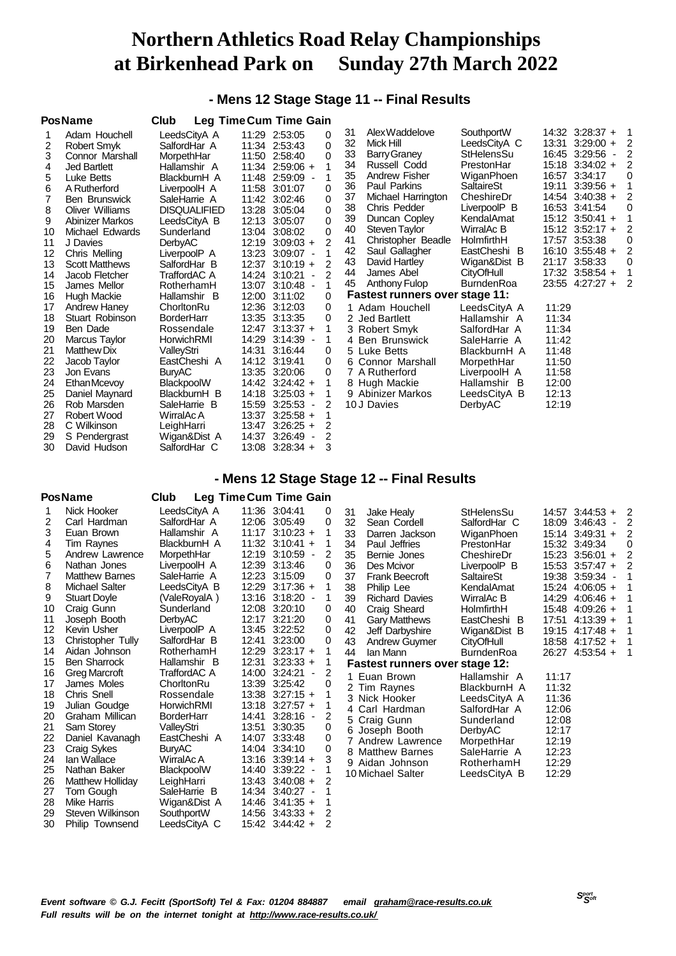# **- Mens 12 Stage Stage 11 -- Final Results**

|    | <b>PosName</b>         | Club                | Leg Time Cum Time Gain |                                           |                |    |                                       |                   |       |                                     |    |
|----|------------------------|---------------------|------------------------|-------------------------------------------|----------------|----|---------------------------------------|-------------------|-------|-------------------------------------|----|
|    | Adam Houchell          | LeedsCityA A        |                        | 11:29 2:53:05                             | 0              | 31 | Alex Waddelove                        | SouthportW        |       | 14:32 3:28:37 +                     | -1 |
| 2  | Robert Smyk            | SalfordHar A        |                        | 11:34 2:53:43                             | $\Omega$       | 32 | Mick Hill                             | LeedsCityA C      |       | 13:31 3:29:00 +                     | 2  |
| 3  | Connor Marshall        | MorpethHar          |                        | 11:50 2:58:40                             | $\Omega$       | 33 | <b>Barry Graney</b>                   | StHelensSu        | 16:45 | 3:29:56<br>$\overline{\phantom{a}}$ |    |
| 4  | <b>Jed Bartlett</b>    | Hallamshir A        |                        | $11:34$ 2:59:06 +                         |                | 34 | Russell Codd                          | PrestonHar        |       | 15:18 3:34:02 +                     |    |
| 5  | Luke Betts             | BlackburnH A        |                        | 11:48 2:59:09 -                           | 1              | 35 | Andrew Fisher                         | WiganPhoen        | 16:57 | 3:34:17                             | 0  |
| 6  | A Rutherford           | LiverpoolH A        | 11:58                  | 3:01:07                                   | 0              | 36 | <b>Paul Parkins</b>                   | <b>SaltaireSt</b> | 19:11 | $3:39:56 +$                         |    |
| 7  | <b>Ben Brunswick</b>   | SaleHarrie A        |                        | 11:42 3:02:46                             | $\Omega$       | 37 | Michael Harrington                    | CheshireDr        |       | 14:54 3:40:38 +                     | 2  |
| 8  | <b>Oliver Williams</b> | <b>DISQUALIFIED</b> |                        | 13:28 3:05:04                             | 0              | 38 | Chris Pedder                          | LiverpoolP B      |       | 16:53 3:41:54                       | 0  |
| 9  | <b>Abinizer Markos</b> | LeedsCityA B        |                        | 12:13 3:05:07                             | 0              | 39 | Duncan Copley                         | KendalAmat        |       | 15:12 3:50:41 +                     |    |
| 10 | Michael Edwards        | Sunderland          | 13:04                  | 3:08:02                                   | $\Omega$       | 40 | <b>Steven Taylor</b>                  | WirralAc B        |       | $15:12$ 3:52:17 +                   |    |
| 11 | J Davies               | DerbyAC             |                        | $12:19$ $3:09:03 +$                       | $\mathfrak{p}$ | 41 | Christopher Beadle                    | HolmfirthH        |       | 17:57 3:53:38                       |    |
| 12 | Chris Mellina          | LiverpoolP A        | 13:23                  | $3:09:07 -$                               |                | 42 | Saul Gallagher                        | EastCheshi B      |       | $16:10$ 3:55:48 +                   | 2  |
| 13 | <b>Scott Matthews</b>  | SalfordHar B        |                        | 12:37 3:10:19 +                           | 2              | 43 | David Hartley                         | Wigan&Dist B      | 21:17 | 3:58:33                             | 0  |
| 14 | Jacob Fletcher         | TraffordAC A        |                        | 14:24 3:10:21<br>$\overline{\phantom{a}}$ | 2              | 44 | James Abel                            | <b>CityOfHull</b> |       | 17:32 3:58:54 +                     |    |
| 15 | James Mellor           | RotherhamH          | 13:07                  | $3:10:48$ -                               | 1              | 45 | Anthony Fulop                         | <b>BurndenRoa</b> |       | 23:55 4:27:27 +                     | 2  |
| 16 | Hugh Mackie            | Hallamshir B        |                        | 12:00 3:11:02                             | 0              |    | <b>Fastest runners over stage 11:</b> |                   |       |                                     |    |
| 17 | Andrew Hanev           | ChorltonRu          |                        | 12:36 3:12:03                             | 0              |    | 1 Adam Houchell                       | LeedsCityA A      | 11:29 |                                     |    |
| 18 | Stuart Robinson        | <b>BorderHarr</b>   |                        | 13:35 3:13:35                             | 0              |    | 2 Jed Bartlett                        | Hallamshir A      | 11:34 |                                     |    |
| 19 | Ben Dade               | Rossendale          |                        | $12:47$ $3:13:37$ +                       |                |    | 3 Robert Smyk                         | SalfordHar A      | 11:34 |                                     |    |
| 20 | Marcus Taylor          | HorwichRMI          | 14:29                  | 3:14:39 -                                 |                | 4  | <b>Ben Brunswick</b>                  | SaleHarrie A      | 11:42 |                                     |    |
| 21 | <b>Matthew Dix</b>     | ValleyStri          |                        | 14:31 3:16:44                             | 0              | 5. | Luke Betts                            | BlackburnH A      | 11:48 |                                     |    |
| 22 | Jacob Taylor           | EastCheshi A        |                        | 14:12 3:19:41                             | 0              | 6. | Connor Marshall                       | MorpethHar        | 11:50 |                                     |    |
| 23 | Jon Evans              | <b>BuryAC</b>       |                        | 13:35 3:20:06                             | $\Omega$       |    | 7 A Rutherford                        | LiverpoolH A      | 11:58 |                                     |    |
| 24 | Ethan Mcevoy           | BlackpoolW          |                        | $14:42$ 3:24:42 +                         |                | 8. | Hugh Mackie                           | Hallamshir B      | 12:00 |                                     |    |
| 25 | Daniel Maynard         | BlackburnH B        | 14:18                  | $3:25:03 +$                               |                |    | 9 Abinizer Markos                     | LeedsCitvA B      | 12:13 |                                     |    |
| 26 | Rob Marsden            | SaleHarrie B        | 15:59                  | 3:25:53<br>$\overline{\phantom{a}}$       | 2              |    | 10 J Davies                           | DerbyAC           | 12:19 |                                     |    |
| 27 | Robert Wood            | WirralAc A          |                        | 13:37 3:25:58 +                           |                |    |                                       |                   |       |                                     |    |
| 28 | C Wilkinson            | LeighHarri          | 13:47                  | $3:26:25 +$                               | 2              |    |                                       |                   |       |                                     |    |
| 29 | S Pendergrast          | Wigan&Dist A        |                        | 14:37 3:26:49<br>$\overline{\phantom{a}}$ | 2              |    |                                       |                   |       |                                     |    |
| 30 | David Hudson           | SalfordHar C        | 13:08                  | $3:28:34 +$                               | 3              |    |                                       |                   |       |                                     |    |

## **- Mens 12 Stage Stage 12 -- Final Results**

### **PosName Club Leg TimeCum Time Gain**

| 1  | Nick Hooker             | LeedsCityA A      | 11:36 3:04:41        |                          | 0 | 31 | Jake Healy                            | StHelensSu        |       | 14:57 3:44:53 + | 2 |
|----|-------------------------|-------------------|----------------------|--------------------------|---|----|---------------------------------------|-------------------|-------|-----------------|---|
| 2  | Carl Hardman            | SalfordHar A      | 12:06 3:05:49        |                          | 0 | 32 | Sean Cordell                          | SalfordHar C      |       | 18:09 3:46:43 - | 2 |
| 3  | Euan Brown              | Hallamshir A      | $11:17$ 3:10:23 +    |                          |   | 33 | Darren Jackson                        | WiganPhoen        |       | 15:14 3:49:31 + |   |
| 4  | Tim Raynes              | BlackburnH A      | 11:32 3:10:41 +      |                          |   | 34 | Paul Jeffries                         | PrestonHar        |       | 15:32 3:49:34   |   |
| 5  | Andrew Lawrence         | MorpethHar        | 12:19 3:10:59        | $\overline{\phantom{a}}$ | 2 | 35 | Bernie Jones                          | CheshireDr        |       | 15:23 3:56:01 + |   |
| 6  | Nathan Jones            | LiverpoolH A      | 12:39 3:13:46        |                          | 0 | 36 | Des Mcivor                            | LiverpoolP B      |       | 15:53 3:57:47 + |   |
|    | <b>Matthew Barnes</b>   | SaleHarrie A      | 12:23 3:15:09        |                          | 0 | 37 | <b>Frank Beecroft</b>                 | <b>SaltaireSt</b> |       | 19:38 3:59:34 - |   |
| 8  | <b>Michael Salter</b>   | LeedsCityA B      | 12:29 3:17:36 +      |                          |   | 38 | Philip Lee                            | KendalAmat        |       | 15:24 4:06:05 + |   |
| 9  | <b>Stuart Doyle</b>     | (ValeRoyalA)      | 13:16 3:18:20 -      |                          | 1 | 39 | <b>Richard Davies</b>                 | WirralAc B        |       | 14:29 4:06:46 + |   |
| 10 | Craig Gunn              | Sunderland        | 12:08 3:20:10        |                          | 0 | 40 | Craig Sheard                          | HolmfirthH        |       | 15:48 4:09:26 + |   |
| 11 | Joseph Booth            | <b>DerbyAC</b>    | 12:17 3:21:20        |                          | 0 | 41 | <b>Gary Matthews</b>                  | EastCheshi B      |       | 17:51 4:13:39 + |   |
| 12 | Kevin Usher             | LiverpoolP A      | 13:45 3:22:52        |                          | 0 | 42 | Jeff Darbyshire                       | Wigan&Dist B      |       | 19:15 4:17:48 + |   |
| 13 | Christopher Tully       | SalfordHar B      | 12:41<br>3:23:00     |                          | 0 | 43 | <b>Andrew Guymer</b>                  | <b>CityOfHull</b> |       | 18:58 4:17:52 + |   |
| 14 | Aidan Johnson           | RotherhamH        | 12:29 3:23:17 +      |                          | 1 | 44 | lan Mann                              | <b>BurndenRoa</b> |       | 26:27 4:53:54 + |   |
| 15 | <b>Ben Sharrock</b>     | Hallamshir B      | 12:31<br>$3:23:33 +$ |                          |   |    | <b>Fastest runners over stage 12:</b> |                   |       |                 |   |
| 16 | <b>Greg Marcroft</b>    | TraffordAC A      | 14:00 3:24:21        | $\blacksquare$           | 2 |    | 1 Euan Brown                          | Hallamshir A      | 11:17 |                 |   |
| 17 | James Moles             | ChorltonRu        | 13:39 3:25:42        |                          | 0 |    | 2 Tim Raynes                          | BlackburnH A      | 11:32 |                 |   |
| 18 | Chris Snell             | Rossendale        | $13:38$ $3:27:15 +$  |                          |   |    | 3 Nick Hooker                         | LeedsCityA A      | 11:36 |                 |   |
| 19 | Julian Goudge           | HorwichRMI        | $13:18$ $3:27:57$ +  |                          |   |    | 4 Carl Hardman                        | SalfordHar A      | 12:06 |                 |   |
| 20 | Graham Millican         | <b>BorderHarr</b> | 14:41<br>$3:28:16 -$ |                          | 2 |    | 5 Craig Gunn                          | Sunderland        | 12:08 |                 |   |
| 21 | Sam Storey              | ValleyStri        | 13:51<br>3:30:35     |                          | 0 |    | 6 Joseph Booth                        | DerbyAC           | 12:17 |                 |   |
| 22 | Daniel Kavanagh         | EastCheshi A      | 14:07 3:33:48        |                          | 0 |    | 7 Andrew Lawrence                     | MorpethHar        | 12:19 |                 |   |
| 23 | Craig Sykes             | <b>BuryAC</b>     | 14:04 3:34:10        |                          | 0 |    | 8 Matthew Barnes                      | SaleHarrie A      | 12:23 |                 |   |
| 24 | lan Wallace             | WirralAc A        | $13:16$ $3:39:14 +$  |                          | 3 |    | 9 Aidan Johnson                       | RotherhamH        | 12:29 |                 |   |
| 25 | Nathan Baker            | BlackpoolW        | 14:40 3:39:22 -      |                          |   |    | 10 Michael Salter                     | LeedsCityA B      | 12:29 |                 |   |
| 26 | <b>Matthew Holliday</b> | LeighHarri        | $13:43$ $3:40:08 +$  |                          | 2 |    |                                       |                   |       |                 |   |
| 27 | Tom Gough               | SaleHarrie B      | 14:34 3:40:27        |                          |   |    |                                       |                   |       |                 |   |
| 28 | <b>Mike Harris</b>      | Wigan&Dist A      | $14:46$ 3:41:35 +    |                          |   |    |                                       |                   |       |                 |   |
| 29 | Steven Wilkinson        | SouthportW        | $14:56$ 3:43:33 +    |                          | 2 |    |                                       |                   |       |                 |   |
| 30 | Philip Townsend         | LeedsCityA C      | 15:42 3:44:42 +      |                          | 2 |    |                                       |                   |       |                 |   |
|    |                         |                   |                      |                          |   |    |                                       |                   |       |                 |   |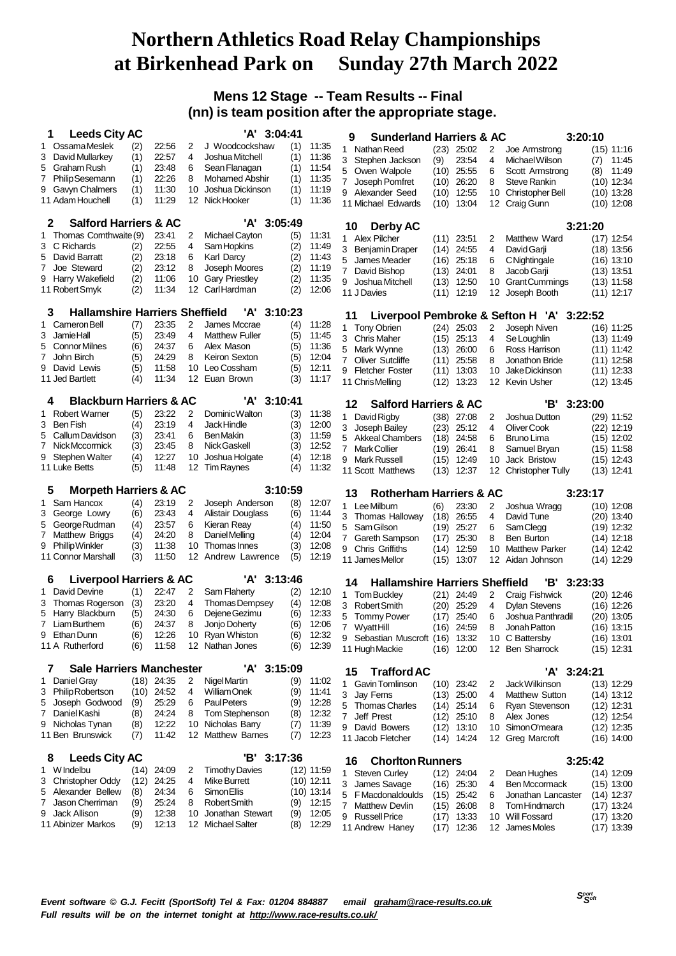## **Mens 12 Stage -- Team Results -- Final (nn) is team position after the appropriate stage.**

| <b>Leeds City AC</b><br>1                                    |            |                |                   | 'A' 3:04:41                           |            |                | <b>Sunderland Harriers &amp; AC</b><br>9          |              |                       |                         |                                           | 3:20:10 |                              |
|--------------------------------------------------------------|------------|----------------|-------------------|---------------------------------------|------------|----------------|---------------------------------------------------|--------------|-----------------------|-------------------------|-------------------------------------------|---------|------------------------------|
| <b>OssamaMeslek</b><br>1                                     | (2)        | 22:56          | 2                 | J Woodcockshaw                        | (1)        | 11:35          | $\mathbf{1}$                                      |              |                       |                         |                                           |         |                              |
| David Mullarkey<br>3                                         | (1)        | 22:57          | 4                 | Joshua Mitchell                       | (1)        | 11:36          | Nathan Reed<br>3                                  |              | $(23)$ 25:02          | 2<br>4                  | Joe Armstrong                             |         | $(15)$ 11:16                 |
| 5<br>Graham Rush                                             | (1)        | 23:48          | 6                 | Sean Flanagan                         | (1)        | 11:54          | Stephen Jackson                                   | (9)          | 23:54                 |                         | Michael Wilson                            | (7)     | 11:45                        |
| <b>Philip Sesemann</b><br>7                                  | (1)        | 22:26          | 8                 | <b>Mohamed Abshir</b>                 | (1)        | 11:35          | 5<br>Owen Walpole                                 | (10)         | 25:55                 | 6                       | Scott Armstrong<br><b>Steve Rankin</b>    | (8)     | 11:49                        |
| 9<br>Gavyn Chalmers                                          | (1)        | 11:30          | 10                | Joshua Dickinson                      | (1)        | 11:19          | Joseph Pomfret<br>$\mathbf{7}$                    | (10)         | 26:20                 | 8                       |                                           |         | $(10)$ 12:34                 |
| 11 Adam Houchell                                             | (1)        | 11:29          |                   | 12 Nick Hooker                        | (1)        | 11:36          | 9 Alexander Seed<br>11 Michael Edwards            | (10)<br>(10) | 12:55<br>13:04        | 10<br>12                | <b>Christopher Bell</b><br>Craig Gunn     |         | $(10)$ 13:28<br>$(10)$ 12:08 |
| <b>Salford Harriers &amp; AC</b><br>2                        |            |                |                   | 'A' 3:05:49                           |            |                |                                                   |              |                       |                         |                                           |         |                              |
| 1 Thomas Cornthwaite (9)                                     |            | 23:41          | 2                 | Michael Cayton                        | (5)        | 11:31          | Derby AC<br>10                                    |              |                       |                         |                                           | 3:21:20 |                              |
| C Richards<br>3                                              | (2)        | 22:55          | 4                 | Sam Hopkins                           | (2)        | 11:49          | 1 Alex Pilcher                                    |              | $(11)$ 23:51          | 2                       | Matthew Ward                              |         | $(17)$ 12:54                 |
| 5<br>David Barratt                                           | (2)        | 23:18          | 6                 | Karl Darcy                            | (2)        | 11:43          | Benjamin Draper<br>3                              | (14)         | 24:55                 | 4                       | David Garji                               |         | $(18)$ 13:56                 |
| 7<br>Joe Steward                                             | (2)        | 23:12          | 8                 | Joseph Moores                         | (2)        | 11:19          | James Meader<br>5                                 | (16)         | 25:18                 | 6                       | CNightingale                              |         | (16) 13:10                   |
| Harry Wakefield<br>9                                         | (2)        | 11:06          | 10                | <b>Gary Priestley</b>                 | (2)        | 11:35          | $\overline{7}$<br>David Bishop                    | (13)         | 24:01                 | 8                       | Jacob Garji                               |         | $(13)$ 13:51                 |
| 11 Robert Smyk                                               | (2)        | 11:34          | $12 \overline{ }$ | CarlHardman                           | (2)        | 12:06          | Joshua Mitchell<br>9<br>11 J Davies               | (13)<br>(11) | 12:50<br>12:19        | 10<br>12                | <b>GrantCummings</b><br>Joseph Booth      |         | $(13)$ 11:58<br>$(11)$ 12:17 |
|                                                              |            |                |                   | 'A'                                   |            |                |                                                   |              |                       |                         |                                           |         |                              |
| <b>Hallamshire Harriers Sheffield</b><br>3<br>1 Cameron Bell | (7)        | 23:35          | 2                 | 3:10:23<br>James Mccrae               | (4)        | 11:28          | 11                                                |              |                       |                         | Liverpool Pembroke & Sefton H 'A' 3:22:52 |         |                              |
| <b>JamieHall</b><br>3                                        | (5)        | 23:49          | 4                 | <b>Matthew Fuller</b>                 | (5)        | 11:45          | <b>Tony Obrien</b><br>$\mathbf{1}$                |              | $(24)$ 25:03          | 2                       | Joseph Niven                              |         | (16) 11:25                   |
| <b>Connor Milnes</b><br>5                                    | (6)        | 24:37          | 6                 | Alex Mason                            | (5)        | 11:36          | 3 Chris Maher                                     | (15)         | 25:13                 | 4                       | Se Loughlin                               |         | $(13)$ 11:49                 |
| John Birch<br>7                                              | (5)        | 24:29          | 8                 | Keiron Sexton                         | (5)        | 12:04          | 5 Mark Wynne                                      | (13)         | 26:00                 | 6                       | Ross Harrison                             |         | $(11)$ 11:42                 |
| David Lewis<br>9                                             | (5)        | 11:58          | 10                | Leo Cossham                           | (5)        | 12:11          | 7 Oliver Sutcliffe                                | (11)         | 25:58                 | 8                       | Jonathon Bride                            |         | $(11)$ 12:58                 |
| 11 Jed Bartlett                                              | (4)        | 11:34          |                   | 12 Euan Brown                         | (3)        | 11:17          | 9 Fletcher Foster                                 | (11)         | 13:03                 | 10<br>$12 \overline{ }$ | Jake Dickinson                            |         | $(11)$ 12:33                 |
|                                                              |            |                |                   |                                       |            |                | 11 Chris Melling                                  | (12)         | 13:23                 |                         | Kevin Usher                               |         | $(12)$ 13:45                 |
| <b>Blackburn Harriers &amp; AC</b><br>4                      |            |                |                   | 3:10:41<br>'A'                        |            |                | 12<br><b>Salford Harriers &amp; AC</b>            |              |                       |                         | 'B'                                       | 3:23:00 |                              |
| 1 Robert Warner                                              | (5)        | 23:22          | $\overline{2}$    | Dominic Walton                        | (3)        | 11:38          | David Rigby<br>$\mathbf{1}$                       |              | $(38)$ 27:08          | 2                       | Joshua Dutton                             |         | (29) 11:52                   |
| <b>Ben Fish</b><br>3.<br>Callum Davidson<br>5                | (4)        | 23:19<br>23:41 | 4<br>6            | Jack Hindle<br><b>BenMakin</b>        | (3)        | 12:00<br>11:59 | 3 Joseph Bailey                                   | (23)         | 25:12                 | 4                       | Oliver Cook                               |         | $(22)$ 12:19                 |
| 7<br>Nick Mccormick                                          | (3)<br>(3) | 23:45          | 8                 | Nick Gaskell                          | (3)<br>(3) | 12:52          | <b>Akkeal Chambers</b><br>5                       | (18)         | 24:58                 | 6                       | Bruno Lima                                |         | $(15)$ 12:02                 |
| 9<br>Stephen Walter                                          | (4)        | 12:27          | 10                | Joshua Holgate                        | (4)        | 12:18          | 7<br><b>MarkCollier</b>                           | (19)         | 26:41                 | 8                       | Samuel Bryan                              |         | $(15)$ 11:58                 |
| 11 Luke Betts                                                | (5)        | 11:48          | 12                | <b>Tim Raynes</b>                     | (4)        | 11:32          | 9 Mark Russell                                    | (15)         | 12:49                 | 10                      | Jack Bristow                              |         | $(15)$ 12:43                 |
|                                                              |            |                |                   |                                       |            |                | 11 Scott Matthews                                 | (13)         | 12:37                 | 12                      | <b>Christopher Tully</b>                  |         | $(13)$ 12:41                 |
|                                                              |            |                |                   |                                       |            |                |                                                   |              |                       |                         |                                           |         |                              |
| <b>Morpeth Harriers &amp; AC</b><br>5                        |            |                |                   | 3:10:59                               |            |                | <b>Rotherham Harriers &amp; AC</b><br>13          |              |                       |                         |                                           | 3:23:17 |                              |
| Sam Hancox<br>1                                              | (4)        | 23:19          | 2                 | Joseph Anderson                       | (8)        | 12:07          | 1 Lee Milburn                                     | (6)          | 23:30                 | 2                       | Joshua Wragg                              |         | $(10)$ 12:08                 |
| George Lowry<br>3                                            | (6)        | 23:43          | 4                 | Alistair Douglass                     | (6)        | 11:44          | 3<br>Thomas Halloway                              | (18)         | 26:55                 | 4                       | David Tune                                |         | $(20)$ 13:40                 |
| George Rudman<br>5                                           | (4)        | 23:57          | 6                 | Kieran Reay                           | (4)        | 11:50          | 5<br>Sam Gilson                                   | (19)         | 25:27                 | 6                       | Sam Clegg                                 |         | $(19)$ 12:32                 |
| 7<br>Matthew Briggs                                          | (4)        | 24:20          | 8                 | Daniel Melling                        | (4)        | 12:04          | $\overline{7}$<br>Gareth Sampson                  | (17)         | 25:30                 | 8                       | <b>Ben Burton</b>                         |         | $(14)$ 12:18                 |
| <b>Phillip Winkler</b><br>9<br>11 Connor Marshall            | (3)<br>(3) | 11:38<br>11:50 | 10<br>12          | Thomas Innes<br>Andrew Lawrence       | (3)<br>(5) | 12:08<br>12:19 | 9<br>Chris Griffiths                              | (14)         | 12:59                 | 10                      | <b>Matthew Parker</b>                     |         | $(14)$ 12:42                 |
|                                                              |            |                |                   |                                       |            |                | 11 James Mellor                                   | (15)         | 13:07                 | 12                      | Aidan Johnson                             |         | $(14)$ 12:29                 |
| <b>Liverpool Harriers &amp; AC</b><br>6                      |            |                |                   | 3:13:46<br>'A'                        |            |                | <b>Hallamshire Harriers Sheffield</b><br>14       |              |                       |                         | 'B' .                                     | 3:23:33 |                              |
| 1 David Devine                                               | (1)        | 22:47          | 2<br>4            | Sam Flaherty                          | (2)        | 12:10          | 1 Tom Bucklev                                     |              | (21) 24:49            | 2                       | Craig Fishwick                            |         | $(20)$ 12:46                 |
| Thomas Rogerson<br>3<br>5                                    | (3)        | 23:20<br>24:30 | 6                 | Thomas Dempsey                        | (4)        | 12:08          | 3<br><b>Robert Smith</b>                          | (20)         | 25:29                 | 4                       | <b>Dylan Stevens</b>                      |         | $(16)$ 12:26                 |
| Harry Blackburn<br>7 Liam Burthem                            | (5)<br>(6) | 24:37          | 8                 | Dejene Gezimu<br>Jonjo Doherty        | (6)<br>(6) | 12:33<br>12:06 | 5<br>Tommy Power                                  | (17)         | 25:40                 | 6                       | Joshua Panthradil                         |         | (20) 13:05                   |
| 9<br>Ethan Dunn                                              | (6)        | 12:26          |                   | 10 Ryan Whiston                       | (6)        | 12:32          | 7 Wyatt Hill                                      | (16)         | 24:59                 | 8                       | Jonah Patton                              |         | (16) 13:15                   |
| 11 A Rutherford                                              | (6)        | 11:58          |                   | 12 Nathan Jones                       | (6)        | 12:39          | 9 Sebastian Muscroft (16) 13:32<br>11 Hugh Mackie |              | $(16)$ 12:00          |                         | 10 C Battersby<br>12 Ben Sharrock         |         | (16) 13.01<br>$(15)$ 12:31   |
|                                                              |            |                |                   |                                       |            |                |                                                   |              |                       |                         |                                           |         |                              |
| <b>Sale Harriers Manchester</b><br>7<br>Daniel Gray<br>1     |            | $(18)$ 24:35   | 2                 | 'A'<br>3:15:09<br>Nigel Martin        | (9)        | 11:02          | <b>Trafford AC</b><br>15                          |              |                       |                         | 'A' 3:24:21                               |         |                              |
| 3 Philip Robertson                                           |            | $(10)$ 24:52   | 4                 | William Onek                          | (9)        | 11:41          | 1 Gavin Tomlinson                                 |              | $(10)$ 23:42          | 2                       | Jack Wilkinson                            |         | $(13)$ 12:29                 |
| Joseph Godwood<br>5                                          | (9)        | 25:29          | 6                 | <b>Paul Peters</b>                    | (9)        | 12:28          | 3 Jay Ferns                                       |              | $(13)$ 25:00          | 4                       | <b>Matthew Sutton</b>                     |         | $(14)$ 13:12                 |
| Daniel Kashi<br>7                                            | (8)        | 24:24          | 8                 | Tom Stephenson                        | (8)        | 12:32          | <b>Thomas Charles</b><br>5                        |              | $(14)$ 25:14          | 6                       | Ryan Stevenson                            |         | $(12)$ 12:31                 |
| Nicholas Tynan<br>9                                          | (8)        | 12:22          | 10                | Nicholas Barry                        | (7)        | 11:39          | Jeff Prest<br>7                                   | (12)         | 25:10                 | 8                       | Alex Jones<br>SimonO'meara                |         | $(12)$ 12:54                 |
| 11 Ben Brunswick                                             | (7)        | 11:42          |                   | 12 Matthew Barnes                     | (7)        | 12:23          | 9 David Bowers<br>11 Jacob Fletcher               | (12)         | 13:10<br>$(14)$ 14:24 | 10                      | 12 Greg Marcroft                          |         | $(12)$ 12:35<br>$(16)$ 14:00 |
| <b>Leeds City AC</b><br>8                                    |            |                |                   | 'В'<br>3:17:36                        |            |                |                                                   |              |                       |                         |                                           |         |                              |
| 1 W Indelbu                                                  | (14)       | 24:09          | 2                 | <b>Timothy Davies</b>                 |            | $(12)$ 11:59   | <b>Chorlton Runners</b><br>16<br>1 Steven Curley  |              | $(12)$ 24:04          | 2                       | Dean Hughes                               | 3:25:42 | $(14)$ 12:09                 |
| <b>Christopher Oddy</b><br>3                                 | (12)       | 24:25          | 4                 | Mike Burrett                          |            | $(10)$ 12:11   | 3 James Savage                                    |              | $(16)$ 25:30          | 4                       | <b>Ben Mccormack</b>                      |         | $(15)$ 13:00                 |
| Alexander Bellew<br>5                                        | (8)        | 24:34          | 6                 | Simon Ellis                           |            | $(10)$ 13:14   | 5<br>F Macdonaldoulds                             | (15)         | 25:42                 | 6                       | Jonathan Lancaster                        |         | $(14)$ 12:37                 |
| Jason Cherriman<br>7                                         | (9)        | 25:24          | 8                 | Robert Smith                          | (9)        | 12:15          | 7<br><b>Matthew Devlin</b>                        | (15)         | 26:08                 | 8                       | Tom Hindmarch                             |         | $(17)$ 13:24                 |
| Jack Allison<br>9<br>11 Abinizer Markos                      | (9)<br>(9) | 12:38<br>12:13 | 10                | Jonathan Stewart<br>12 Michael Salter | (9)<br>(8) | 12:05<br>12:29 | <b>Russell Price</b><br>9<br>11 Andrew Haney      | (17)         | 13:33<br>$(17)$ 12:36 | 10                      | Will Fossard<br>12 James Moles            |         | $(17)$ 13:20<br>$(17)$ 13:39 |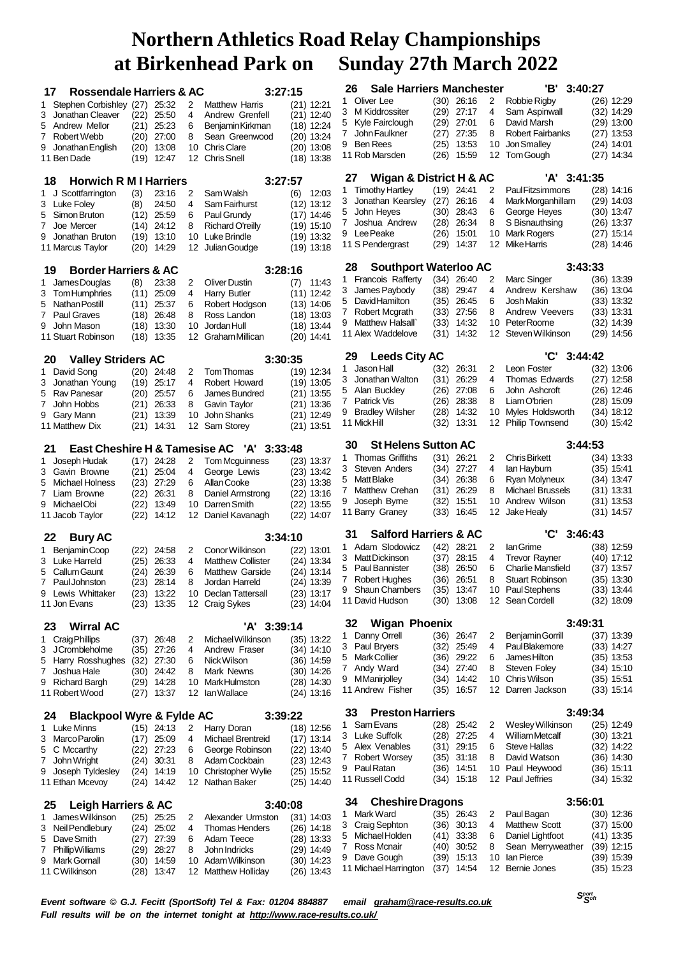| <b>Rossendale Harriers &amp; AC</b><br>17  |              |                              |    | 3:27:15                                   |                              | 26          | <b>Sale Harriers Manchester</b>                   |      |                     |    | 'В'<br>3:40:27                        |         |              |
|--------------------------------------------|--------------|------------------------------|----|-------------------------------------------|------------------------------|-------------|---------------------------------------------------|------|---------------------|----|---------------------------------------|---------|--------------|
| Stephen Corbishley (27)<br>1               |              | 25:32                        | 2  | <b>Matthew Harris</b>                     | $(21)$ 12:21                 | 1.          | Oliver Lee                                        |      | $(30)$ 26:16        | 2  | Robbie Rigby                          |         | $(26)$ 12:29 |
| 3<br>Jonathan Cleaver                      | (22)         | 25:50                        | 4  | Andrew Grenfell                           | $(21)$ 12:40                 |             | 3 M Kiddrossiter                                  |      | (29) 27:17          | 4  | Sam Aspinwall                         |         | (32) 14:29   |
| Andrew Mellor<br>5                         |              | 25:23                        | 6  |                                           |                              | 5           | Kyle Fairclough                                   |      | (29) 27:01          | 6  | David Marsh                           |         | $(29)$ 13:00 |
| <b>Robert Webb</b>                         | (21)         | $(20)$ 27:00                 | 8  | Benjamin Kirkman                          | $(18)$ 12:24                 | 7.          | John Faulkner                                     | (27) | 27:35               | 8  | <b>Robert Fairbanks</b>               |         | $(27)$ 13:53 |
| 7                                          |              |                              |    | Sean Greenwood                            | $(20)$ 13:24                 |             | 9 Ben Rees                                        | (25) | 13:53               | 10 | Jon Smalley                           |         | $(24)$ 14:01 |
| 9<br>Jonathan English<br>11 Ben Dade       | (20)<br>(19) | 13:08<br>12:47               | 10 | <b>Chris Clare</b><br>12 Chris Snell      | $(20)$ 13:08<br>$(18)$ 13:38 |             | 11 Rob Marsden                                    | (26) | 15:59               | 12 | Tom Gough                             |         | (27) 14:34   |
|                                            |              |                              |    |                                           |                              |             |                                                   |      |                     |    | 'A' 3:41:35                           |         |              |
| <b>Horwich R M I Harriers</b><br>18        |              |                              |    | 3:27:57                                   |                              | 27          | Wigan & District H & AC<br><b>Timothy Hartley</b> |      |                     | 2  |                                       |         |              |
| J Scottfarrington<br>1                     | (3)          | 23:16                        | 2  | Sam Walsh                                 | (6)<br>12:03                 | 1.          | Jonathan Kearsley                                 |      | (19) 24:41<br>26:16 | 4  | Paul Fitzsimmons<br>Mark Morganhillam |         | $(28)$ 14:16 |
| <b>Luke Foley</b><br>3                     | (8)          | 24:50                        | 4  | Sam Fairhurst                             | $(12)$ 13:12                 | 3           |                                                   | (27) |                     |    |                                       |         | $(29)$ 14:03 |
| Simon Bruton<br>5                          | (12)         | 25:59                        | 6  | Paul Grundy                               | $(17)$ 14:46                 |             | 5 John Heyes                                      | (30) | 28:43               | 6  | George Heyes                          |         | $(30)$ 13:47 |
| Joe Mercer<br>7                            | (14)         | 24:12                        | 8  | Richard O'reilly                          | $(19)$ 15:10                 | 7.          | Joshua Andrew                                     | (28) | 26:34               | 8  | S Bisnauthsing                        |         | (26) 13:37   |
| 9<br>Jonathan Bruton                       | (19)         | 13:10                        | 10 | Luke Brindle                              | (19) 13:32                   |             | 9 Lee Peake                                       | (26) | 15:01               | 10 | <b>Mark Rogers</b>                    |         | $(27)$ 15:14 |
| 11 Marcus Taylor                           | (20)         | 14:29                        | 12 | Julian Goudge                             | $(19)$ 13:18                 |             | 11 S Pendergrast                                  | (29) | 14:37               | 12 | Mike Harris                           |         | $(28)$ 14:46 |
| <b>Border Harriers &amp; AC</b><br>19      |              |                              |    | 3:28:16                                   |                              | 28          | <b>Southport Waterloo AC</b>                      |      |                     |    |                                       | 3:43:33 |              |
| James Douglas<br>1                         | (8)          | 23:38                        | 2  | <b>Oliver Dustin</b>                      | 11:43<br>(7)                 |             | 1 Francois Rafferty                               |      | $(34)$ 26:40        | 2  | Marc Singer                           |         | $(36)$ 13:39 |
| Tom Humphries<br>3                         |              | $(11)$ 25:09                 | 4  | Harry Butler                              | $(11)$ 12:42                 | 3           | James Paybody                                     | (38) | 29:47               | 4  | Andrew Kershaw                        |         | $(36)$ 13:04 |
| <b>Nathan Postill</b><br>5                 | (11)         | 25:37                        | 6  | Robert Hodgson                            | $(13)$ 14:06                 |             | 5 David Hamilton                                  | (35) | 26:45               | 6  | Josh Makin                            |         | $(33)$ 13:32 |
| <b>Paul Graves</b><br>7                    | (18)         | 26:48                        | 8  | Ross Landon                               | (18) 13:03                   |             | 7 Robert Mcgrath                                  | (33) | 27:56               | 8  | Andrew Veevers                        |         | $(33)$ 13:31 |
| 9<br>John Mason                            | (18)         | 13:30                        | 10 | Jordan Hull                               | $(18)$ 13:44                 |             | 9 Matthew Halsall                                 | (33) | 14:32               | 10 | Peter Roome                           |         | $(32)$ 14:39 |
| 11 Stuart Robinson                         | (18)         | 13:35                        |    | 12 Graham Millican                        | $(20)$ 14:41                 |             | 11 Alex Waddelove                                 |      | $(31)$ 14:32        |    | 12 Steven Wilkinson                   |         | $(29)$ 14:56 |
|                                            |              |                              |    |                                           |                              | 29          | <b>Leeds City AC</b>                              |      |                     |    | 'C'<br>3:44:42                        |         |              |
| <b>Valley Striders AC</b><br>20            |              |                              |    | 3:30:35                                   |                              | 1.          | Jason Hall                                        | (32) | 26:31               | 2  | Leon Foster                           |         | $(32)$ 13:06 |
| David Song<br>1                            |              | $(20)$ 24:48                 | 2  | Tom Thomas                                | $(19)$ 12:34                 | 3           | Jonathan Walton                                   | (31) | 26:29               | 4  | Thomas Edwards                        |         | $(27)$ 12:58 |
| Jonathan Young<br>3                        | (19)         | 25:17                        | 4  | Robert Howard                             | $(19)$ 13:05                 |             | 5 Alan Buckley                                    |      | 27:08               | 6  | John Ashcroft                         |         | $(26)$ 12:46 |
| <b>Rav Panesar</b><br>5                    | (20)         | 25:57                        | 6  | James Bundred                             | $(21)$ 13:55                 |             |                                                   | (26) |                     |    |                                       |         |              |
| 7<br>John Hobbs                            | (21)         | 26:33                        | 8  | Gavin Taylor                              | $(21)$ 13:36                 |             | 7 Patrick Vis                                     | (26) | 28:38               | 8  | Liam O'brien                          |         | $(28)$ 15:09 |
| Gary Mann<br>9                             | (21)         | 13:39                        | 10 | John Shanks                               | $(21)$ 12:49                 | 9           | <b>Bradley Wilsher</b>                            | (28) | 14:32               | 10 | Myles Holdsworth                      |         | $(34)$ 18:12 |
| 11 Matthew Dix                             | (21)         | 14:31                        |    | 12 Sam Storey                             | $(21)$ 13:51                 |             | 11 Mick Hill                                      |      | $(32)$ 13:31        |    | 12 Philip Townsend                    |         | $(30)$ 15:42 |
| 21                                         |              |                              |    | East Cheshire H & Tamesise AC 'A' 3:33:48 |                              | 30          | <b>St Helens Sutton AC</b>                        |      |                     |    |                                       | 3:44:53 |              |
| Joseph Hudak<br>1                          | (17)         | 24:28                        | 2  | Tom Mcguinness                            | $(23)$ 13:37                 | 1.          | <b>Thomas Griffiths</b>                           |      | (31) 26:21          | 2  | <b>Chris Birkett</b>                  |         | $(34)$ 13:33 |
| 3<br>Gavin Browne                          | (21)         | 25:04                        | 4  | George Lewis                              | $(23)$ 13:42                 | 3           | Steven Anders                                     | (34) | 27:27               | 4  | lan Hayburn                           |         | (35) 15:41   |
| Michael Holness<br>5                       | (23)         | 27:29                        | 6  | Allan Cooke                               | $(23)$ 13:38                 |             | 5 Matt Blake                                      | (34) | 26:38               | 6  | Ryan Molyneux                         |         | $(34)$ 13:47 |
| 7<br>Liam Browne                           | (22)         | 26:31                        | 8  | Daniel Armstrong                          | $(22)$ 13:16                 |             | 7 Matthew Crehan                                  | (31) | 26:29               | 8  | Michael Brussels                      |         | $(31)$ 13:31 |
| Michael Obi<br>9                           | (22)         | 13:49                        | 10 | Darren Smith                              | $(22)$ 13:55                 | 9           | Joseph Byme                                       | (32) | 15:51               | 10 | Andrew Wilson                         |         | $(31)$ 13:53 |
| 11 Jacob Taylor                            | (22)         | 14:12                        | 12 | Daniel Kavanagh                           | $(22)$ 14:07                 |             | 11 Barry Graney                                   |      | $(33)$ 16:45        |    | 12 Jake Healy                         |         | $(31)$ 14:57 |
|                                            |              |                              |    |                                           |                              | 31          | <b>Salford Harriers &amp; AC</b>                  |      |                     |    | 'C'<br>3:46:43                        |         |              |
| 22<br><b>Bury AC</b>                       |              |                              |    | 3:34:10                                   |                              | 1.          | Adam Slodowicz                                    |      | $(42)$ 28:21        | 2  | lan Grime                             |         | $(38)$ 12:59 |
| Benjamin Coop<br>1                         | (22)         | 24:58                        | 2  | Conor Wilkinson                           | $(22)$ 13:01                 | 3.          | <b>Matt Dickinson</b>                             | (37) | 28:15               | 4  | <b>Trevor Rayner</b>                  |         | $(40)$ 17:12 |
| Luke Harreld<br>3                          | (25)         | 26:33                        | 4  | <b>Matthew Collister</b>                  | $(24)$ 13:34                 |             |                                                   |      |                     | 6  |                                       |         |              |
| Callum Gaunt<br>5                          | (24)         | 26:39                        | 6  | Matthew Garside                           | $(24)$ 13:14                 | 5           | <b>Paul Bannister</b>                             | (38) | 26:50               |    | <b>Charlie Mansfield</b>              |         | $(37)$ 13:57 |
| Paul Johnston<br>7                         | (23)         | 28:14                        | 8  | Jordan Harreld                            | $(24)$ 13:39                 | 7           | <b>Robert Hughes</b>                              |      | (36) 26:51          | 8  | <b>Stuart Robinson</b>                |         | $(35)$ 13:30 |
| Lewis Whittaker<br>9                       |              | $(23)$ 13:22                 |    | 10 Declan Tattersall                      | (23) 13:17                   |             | 9 Shaun Chambers                                  |      | $(35)$ 13:47        |    | 10 Paul Stephens                      |         | (33) 13:44   |
| 11 Jon Evans                               |              | $(23)$ 13:35                 |    | 12 Craig Sykes                            | $(23)$ 14:04                 |             | 11 David Hudson                                   |      | $(30)$ 13:08        |    | 12 Sean Cordell                       |         | $(32)$ 18:09 |
| <b>Wirral AC</b><br>23                     |              |                              |    | 'A' 3:39:14                               |                              | 32          | <b>Wigan Phoenix</b>                              |      |                     |    |                                       | 3:49:31 |              |
| Craig Phillips<br>1                        | (37)         | 26:48                        | 2  | Michael Wilkinson                         | $(35)$ 13:22                 | 1.          | Danny Orrell                                      |      | $(36)$ 26:47        | 2  | <b>Benjamin Gorrill</b>               |         | $(37)$ 13:39 |
| <b>J</b> Crombleholme<br>3                 | (35)         | 27:26                        | 4  | Andrew Fraser                             | (34) 14:10                   |             | 3 Paul Bryers                                     | (32) | 25:49               | 4  | Paul Blakemore                        |         | $(33)$ 14:27 |
| Harry Rosshughes<br>5                      | (32)         | 27:30                        | 6  | Nick Wilson                               | (36) 14:59                   | 5           | <b>Mark Collier</b>                               | (36) | 29:22               | 6  | James Hilton                          |         | $(35)$ 13:53 |
| Joshua Hale<br>7                           |              | $(30)$ 24:42                 | 8  | Mark Newns                                | $(30)$ 14:26                 |             | 7 Andy Ward                                       |      | $(34)$ 27:40        | 8  | <b>Steven Foley</b>                   |         | $(34)$ 15:10 |
| <b>Richard Bargh</b><br>9                  | (29)         | 14:28                        |    | 10 MarkHulmston                           | (28) 14:30                   |             | 9 MManirjolley                                    | (34) | 14:42               | 10 | <b>Chris Wilson</b>                   |         | $(35)$ 15:51 |
| 11 Robert Wood                             | (27)         | 13:37                        |    | 12 Ian Wallace                            | $(24)$ 13:16                 |             | 11 Andrew Fisher                                  |      | $(35)$ 16:57        |    | 12 Darren Jackson                     |         | $(33)$ 15:14 |
|                                            |              |                              |    |                                           |                              | 33          | <b>Preston Harriers</b>                           |      |                     |    |                                       | 3:49:34 |              |
| <b>Blackpool Wyre &amp; Fylde AC</b><br>24 |              |                              |    | 3:39:22                                   |                              | 1.          | Sam Evans                                         |      | $(28)$ 25:42        | 2  | Wesley Wilkinson                      |         | $(25)$ 12:49 |
| <b>Luke Minns</b><br>1                     |              | $(15)$ 24:13                 | 2  | Harry Doran                               | (18) 12:56                   |             | 3 Luke Suffolk                                    |      | $(28)$ 27:25        | 4  | <b>William Metcalf</b>                |         | $(30)$ 13:21 |
| Marco Parolin<br>3                         | (17)         | 25:09                        | 4  | <b>Michael Brentreid</b>                  | $(17)$ 13:14                 |             | 5 Alex Venables                                   |      | $(31)$ 29:15        | 6  | <b>Steve Hallas</b>                   |         | $(32)$ 14:22 |
| C Mccarthy<br>5                            | (22)         | 27:23                        | 6  | George Robinson                           | $(22)$ 13:40                 |             | 7 Robert Worsey                                   | (35) | 31:18               | 8  | David Watson                          |         | $(36)$ 14:30 |
| John Wright<br>7                           | (24)         | 30:31                        | 8  | Adam Cockbain                             | (23) 12:43                   |             | 9 Paul Ratan                                      | (36) | 14:51               | 10 | Paul Heywood                          |         | $(36)$ 15:11 |
| Joseph Tyldesley<br>9<br>11 Ethan Mcevoy   |              | $(24)$ 14:19<br>$(24)$ 14:42 | 10 | Christopher Wylie<br>12 Nathan Baker      | $(25)$ 15:52<br>(25) 14:40   |             | 11 Russell Codd                                   |      | $(34)$ 15:18        |    | 12 Paul Jeffries                      |         | $(34)$ 15:32 |
|                                            |              |                              |    |                                           |                              |             |                                                   |      |                     |    |                                       |         |              |
| 25<br>Leigh Harriers & AC                  |              |                              |    | 3:40:08                                   |                              | 34          | <b>Cheshire Dragons</b>                           |      |                     |    | 3:56:01                               |         |              |
| James Wilkinson<br>1                       |              | $(25)$ 25:25                 | 2  | Alexander Urmston                         | $(31)$ 14:03                 | 1.          | Mark Ward                                         |      | $(35)$ 26:43        | 2  | Paul Bagan                            |         | $(30)$ 12:36 |
| Neil Pendlebury<br>3                       | (24)         | 25:02                        | 4  | <b>Thomas Henders</b>                     | (26) 14:18                   |             | 3 Craig Sephton                                   | (36) | 30:13               | 4  | <b>Matthew Scott</b>                  |         | $(37)$ 15:00 |
| Dave Smith<br>5                            | (27)         | 27:39                        | 6  | Adam Teece                                | $(28)$ 13:33                 |             | 5 Michael Holden                                  | (41) | 33:38               | 6  | Daniel Lightfoot                      |         | $(41)$ 13:35 |
| <b>Phillip Williams</b><br>7               | (29)         | 28:27                        | 8  | John Indricks                             | $(29)$ 14:49                 | $7^{\circ}$ | Ross Mcnair                                       | (40) | 30:52               | 8  | Sean Merryweather                     |         | $(39)$ 12:15 |
| <b>Mark Gornall</b><br>9                   | (30)         | 14:59                        | 10 | Adam Wilkinson                            | $(30)$ 14:23                 | 9           | Dave Gough                                        | (39) | 15:13               | 10 | lan Pierce                            |         | $(39)$ 15:39 |
| 11 CWilkinson                              | (28)         | 13:47                        |    | 12 Matthew Holliday                       | $(26)$ 13:43                 |             | 11 Michael Harrington                             |      | $(37)$ 14:54        |    | 12 Bernie Jones                       |         | $(35)$ 15:23 |

 *Soft Event software © G.J. Fecitt (SportSoft) Tel & Fax: 01204 884887 email [graham@race-results.co.uk](mailto:graham@race-results.co.uk) Full results will be on the internet tonight at <http://www.race-results.co.uk/>*